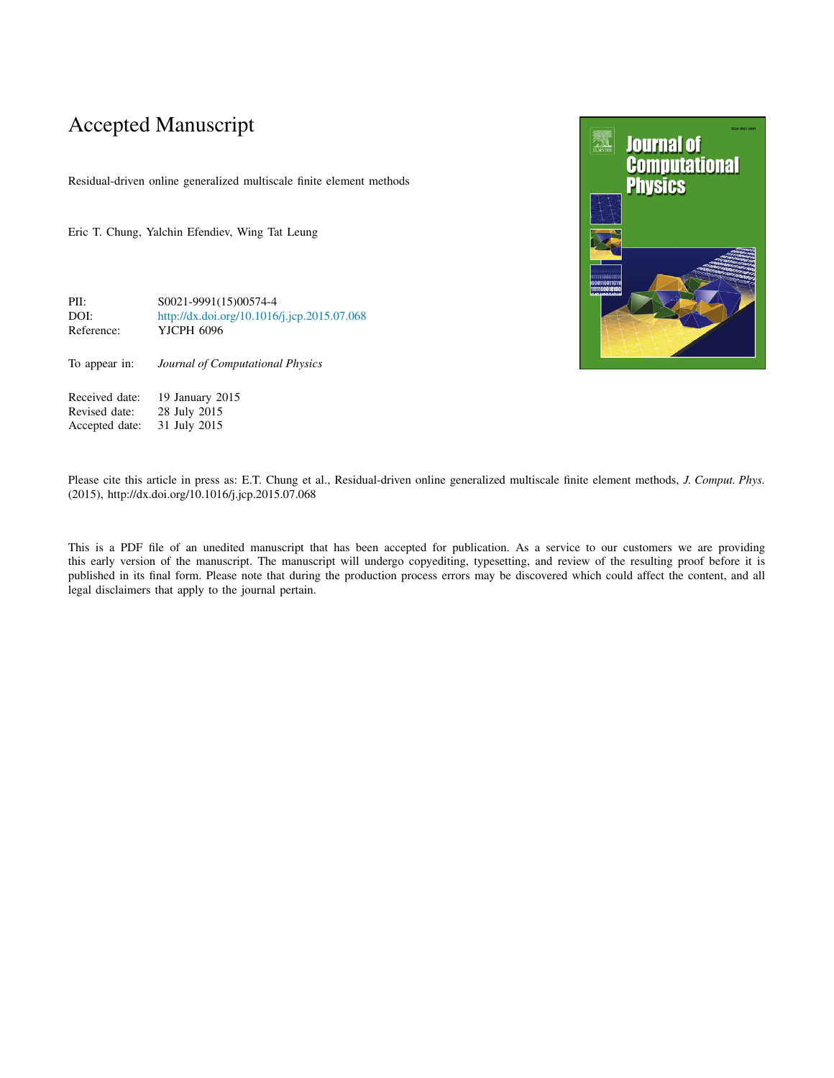# Accepted Manuscript

Residual-driven online generalized multiscale finite element methods

Eric T. Chung, Yalchin Efendiev, Wing Tat Leung

PII:  $S0021-9991(15)00574-4$ DOI: <http://dx.doi.org/10.1016/j.jcp.2015.07.068> Reference: YJCPH 6096

To appear in: *Journal of Computational Physics*

Received date: 19 January 2015<br>Revised date: 28 July 2015 28 July 2015<br>31 July 2015 Accepted date:



Please cite this article in press as: E.T. Chung et al., Residual-driven online generalized multiscale finite element methods, *J. Comput. Phys.* (2015), http://dx.doi.org/10.1016/j.jcp.2015.07.068

This is a PDF file of an unedited manuscript that has been accepted for publication. As a service to our customers we are providing this early version of the manuscript. The manuscript will undergo copyediting, typesetting, and review of the resulting proof before it is published in its final form. Please note that during the production process errors may be discovered which could affect the content, and all legal disclaimers that apply to the journal pertain.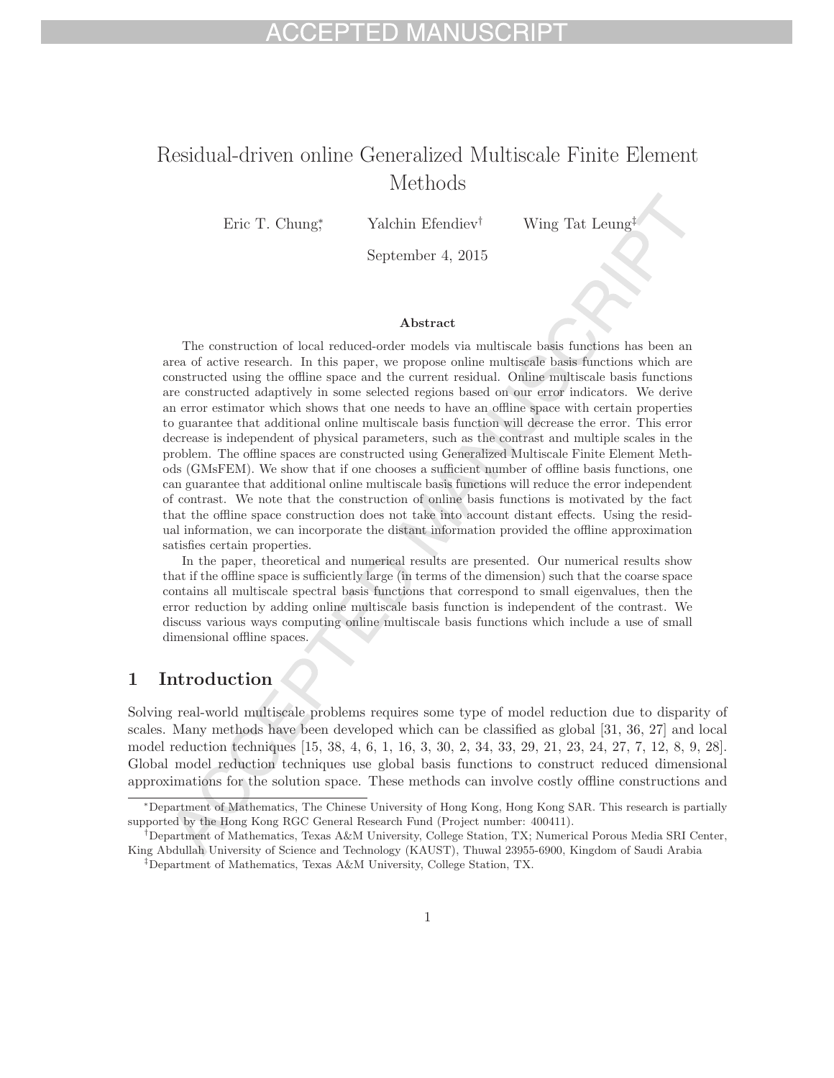## FD.

# Residual-driven online Generalized Multiscale Finite Element Methods

Eric T. Chung<sup>∗</sup>

Yalchin Efendiev<sup>†</sup> Wing Tat Leung

September 4, 2015

#### **Abstract**

The construction of local reduced-order models via multiscale basis functions has been an area of active research. In this paper, we propose online multiscale basis functions which are constructed using the offline space and the current residual. Online multiscale basis functions are constructed adaptively in some selected regions based on our error indicators. We derive an error estimator which shows that one needs to have an offline space with certain properties to guarantee that additional online multiscale basis function will decrease the error. This error decrease is independent of physical parameters, such as the contrast and multiple scales in the problem. The offline spaces are constructed using Generalized Multiscale Finite Element Methods (GMsFEM). We show that if one chooses a sufficient number of offline basis functions, one can guarantee that additional online multiscale basis functions will reduce the error independent of contrast. We note that the construction of online basis functions is motivated by the fact that the offline space construction does not take into account distant effects. Using the residual information, we can incorporate the distant information provided the offline approximation satisfies certain properties.

In the paper, theoretical and numerical results are presented. Our numerical results show that if the offline space is sufficiently large (in terms of the dimension) such that the coarse space contains all multiscale spectral basis functions that correspond to small eigenvalues, then the error reduction by adding online multiscale basis function is independent of the contrast. We discuss various ways computing online multiscale basis functions which include a use of small dimensional offline spaces.

#### **1 Introduction**

Solving real-world multiscale problems requires some type of model reduction due to disparity of scales. Many methods have been developed which can be classified as global [31, 36, 27] and local model reduction techniques [15, 38, 4, 6, 1, 16, 3, 30, 2, 34, 33, 29, 21, 23, 24, 27, 7, 12, 8, 9, 28]. Global model reduction techniques use global basis functions to construct reduced dimensional approximations for the solution space. These methods can involve costly offline constructions and

<sup>∗</sup>Department of Mathematics, The Chinese University of Hong Kong, Hong Kong SAR. This research is partially supported by the Hong Kong RGC General Research Fund (Project number: 400411).

<sup>†</sup>Department of Mathematics, Texas A&M University, College Station, TX; Numerical Porous Media SRI Center, King Abdullah University of Science and Technology (KAUST), Thuwal 23955-6900, Kingdom of Saudi Arabia

<sup>‡</sup>Department of Mathematics, Texas A&M University, College Station, TX.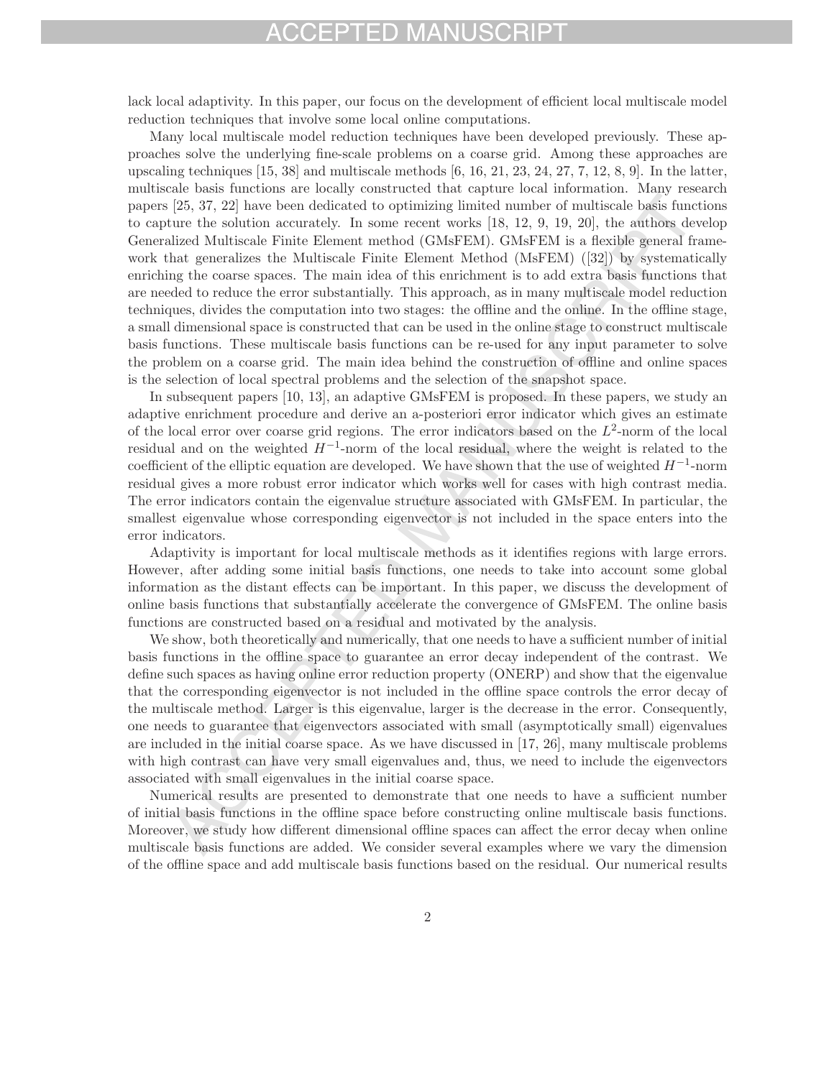## CCEPTED MANUSCRIPT

lack local adaptivity. In this paper, our focus on the development of efficient local multiscale model reduction techniques that involve some local online computations.

Many local multiscale model reduction techniques have been developed previously. These approaches solve the underlying fine-scale problems on a coarse grid. Among these approaches are upscaling techniques  $[15, 38]$  and multiscale methods  $[6, 16, 21, 23, 24, 27, 7, 12, 8, 9]$ . In the latter, multiscale basis functions are locally constructed that capture local information. Many research papers [25, 37, 22] have been dedicated to optimizing limited number of multiscale basis functions to capture the solution accurately. In some recent works [18, 12, 9, 19, 20], the authors develop Generalized Multiscale Finite Element method (GMsFEM). GMsFEM is a flexible general framework that generalizes the Multiscale Finite Element Method (MsFEM) ([32]) by systematically enriching the coarse spaces. The main idea of this enrichment is to add extra basis functions that are needed to reduce the error substantially. This approach, as in many multiscale model reduction techniques, divides the computation into two stages: the offline and the online. In the offline stage, a small dimensional space is constructed that can be used in the online stage to construct multiscale basis functions. These multiscale basis functions can be re-used for any input parameter to solve the problem on a coarse grid. The main idea behind the construction of offline and online spaces is the selection of local spectral problems and the selection of the snapshot space.

In subsequent papers [10, 13], an adaptive GMsFEM is proposed. In these papers, we study an adaptive enrichment procedure and derive an a-posteriori error indicator which gives an estimate of the local error over coarse grid regions. The error indicators based on the  $L^2$ -norm of the local residual and on the weighted  $H^{-1}$ -norm of the local residual, where the weight is related to the coefficient of the elliptic equation are developed. We have shown that the use of weighted  $H^{-1}$ -norm residual gives a more robust error indicator which works well for cases with high contrast media. The error indicators contain the eigenvalue structure associated with GMsFEM. In particular, the smallest eigenvalue whose corresponding eigenvector is not included in the space enters into the error indicators.

Adaptivity is important for local multiscale methods as it identifies regions with large errors. However, after adding some initial basis functions, one needs to take into account some global information as the distant effects can be important. In this paper, we discuss the development of online basis functions that substantially accelerate the convergence of GMsFEM. The online basis functions are constructed based on a residual and motivated by the analysis.

We show, both theoretically and numerically, that one needs to have a sufficient number of initial basis functions in the offline space to guarantee an error decay independent of the contrast. We define such spaces as having online error reduction property (ONERP) and show that the eigenvalue that the corresponding eigenvector is not included in the offline space controls the error decay of the multiscale method. Larger is this eigenvalue, larger is the decrease in the error. Consequently, one needs to guarantee that eigenvectors associated with small (asymptotically small) eigenvalues are included in the initial coarse space. As we have discussed in [17, 26], many multiscale problems with high contrast can have very small eigenvalues and, thus, we need to include the eigenvectors associated with small eigenvalues in the initial coarse space.

Numerical results are presented to demonstrate that one needs to have a sufficient number of initial basis functions in the offline space before constructing online multiscale basis functions. Moreover, we study how different dimensional offline spaces can affect the error decay when online multiscale basis functions are added. We consider several examples where we vary the dimension of the offline space and add multiscale basis functions based on the residual. Our numerical results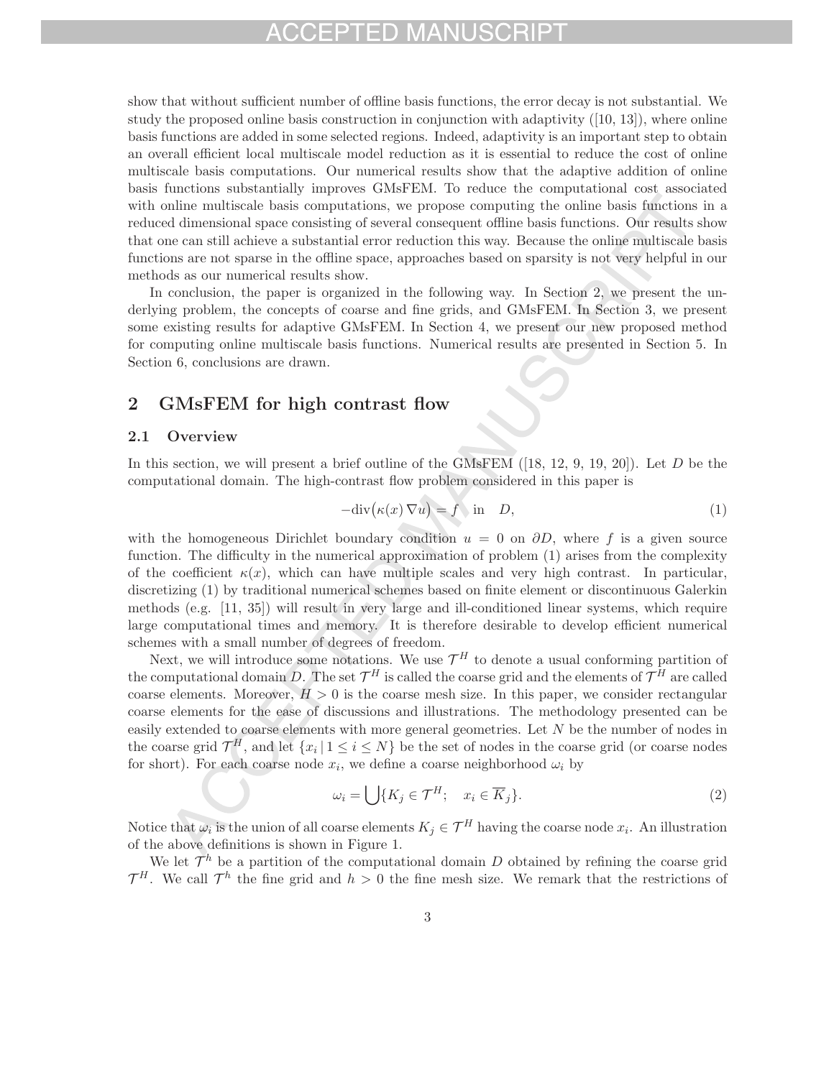## FPTED MANUSCRI

show that without sufficient number of offline basis functions, the error decay is not substantial. We study the proposed online basis construction in conjunction with adaptivity ([10, 13]), where online basis functions are added in some selected regions. Indeed, adaptivity is an important step to obtain an overall efficient local multiscale model reduction as it is essential to reduce the cost of online multiscale basis computations. Our numerical results show that the adaptive addition of online basis functions substantially improves GMsFEM. To reduce the computational cost associated with online multiscale basis computations, we propose computing the online basis functions in a reduced dimensional space consisting of several consequent offline basis functions. Our results show that one can still achieve a substantial error reduction this way. Because the online multiscale basis functions are not sparse in the offline space, approaches based on sparsity is not very helpful in our methods as our numerical results show.

In conclusion, the paper is organized in the following way. In Section 2, we present the underlying problem, the concepts of coarse and fine grids, and GMsFEM. In Section 3, we present some existing results for adaptive GMsFEM. In Section 4, we present our new proposed method for computing online multiscale basis functions. Numerical results are presented in Section 5. In Section 6, conclusions are drawn.

#### **2 GMsFEM for high contrast flow**

#### **2.1 Overview**

In this section, we will present a brief outline of the GMsFEM  $([18, 12, 9, 19, 20])$ . Let D be the computational domain. The high-contrast flow problem considered in this paper is

$$
-\text{div}(\kappa(x)\,\nabla u) = f \quad \text{in} \quad D,\tag{1}
$$

with the homogeneous Dirichlet boundary condition  $u = 0$  on  $\partial D$ , where f is a given source function. The difficulty in the numerical approximation of problem (1) arises from the complexity of the coefficient  $\kappa(x)$ , which can have multiple scales and very high contrast. In particular, discretizing (1) by traditional numerical schemes based on finite element or discontinuous Galerkin methods (e.g. [11, 35]) will result in very large and ill-conditioned linear systems, which require large computational times and memory. It is therefore desirable to develop efficient numerical schemes with a small number of degrees of freedom.

Next, we will introduce some notations. We use  $\mathcal{T}^H$  to denote a usual conforming partition of the computational domain D. The set  $\mathcal{T}^H$  is called the coarse grid and the elements of  $\mathcal{T}^H$  are called coarse elements. Moreover,  $H > 0$  is the coarse mesh size. In this paper, we consider rectangular coarse elements for the ease of discussions and illustrations. The methodology presented can be easily extended to coarse elements with more general geometries. Let N be the number of nodes in the coarse grid  $\mathcal{T}^H$ , and let  $\{x_i | 1 \le i \le N\}$  be the set of nodes in the coarse grid (or coarse nodes for short). For each coarse node  $x_i$ , we define a coarse neighborhood  $\omega_i$  by

$$
\omega_i = \bigcup \{ K_j \in \mathcal{T}^H; \quad x_i \in \overline{K}_j \}. \tag{2}
$$

Notice that  $\omega_i$  is the union of all coarse elements  $K_j \in \mathcal{T}^H$  having the coarse node  $x_i$ . An illustration of the above definitions is shown in Figure 1.

We let  $\mathcal{T}^h$  be a partition of the computational domain D obtained by refining the coarse grid  $\mathcal{T}^H$ . We call  $\mathcal{T}^h$  the fine grid and  $h > 0$  the fine mesh size. We remark that the restrictions of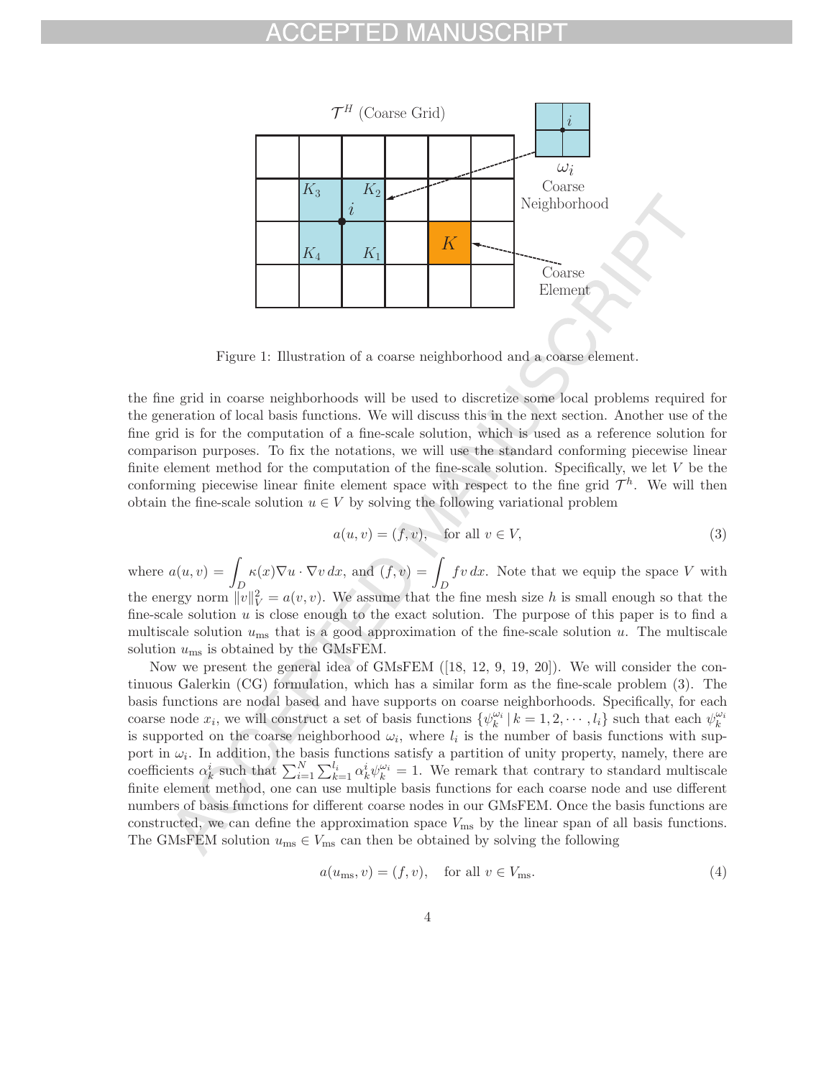

Figure 1: Illustration of a coarse neighborhood and a coarse element.

the fine grid in coarse neighborhoods will be used to discretize some local problems required for the generation of local basis functions. We will discuss this in the next section. Another use of the fine grid is for the computation of a fine-scale solution, which is used as a reference solution for comparison purposes. To fix the notations, we will use the standard conforming piecewise linear finite element method for the computation of the fine-scale solution. Specifically, we let  $V$  be the conforming piecewise linear finite element space with respect to the fine grid  $\mathcal{T}^h$ . We will then obtain the fine-scale solution  $u \in V$  by solving the following variational problem

$$
a(u, v) = (f, v), \quad \text{for all } v \in V,
$$
\n
$$
(3)
$$

where  $a(u, v) = \square$ D  $\kappa(x)\nabla u\cdot\nabla v\,dx$ , and  $(f,v) =$ D  $fvdx$ . Note that we equip the space V with the energy norm  $||v||_V^2 = a(v, v)$ . We assume that the fine mesh size h is small enough so that the fine-scale solution  $u$  is close enough to the exact solution. The purpose of this paper is to find a multiscale solution  $u_{\text{ms}}$  that is a good approximation of the fine-scale solution u. The multiscale solution  $u_{\text{ms}}$  is obtained by the GMsFEM.

Now we present the general idea of GMsFEM ([18, 12, 9, 19, 20]). We will consider the continuous Galerkin (CG) formulation, which has a similar form as the fine-scale problem (3). The basis functions are nodal based and have supports on coarse neighborhoods. Specifically, for each coarse node  $x_i$ , we will construct a set of basis functions  $\{\psi_k^{\omega_i} | k = 1, 2, \dots, l_i\}$  such that each  $\psi_k^{\omega_i}$ is supported on the coarse neighborhood  $\omega_i$ , where  $l_i$  is the number of basis functions with support in  $\omega_i$ . In addition, the basis functions satisfy a partition of unity property, namely, there are coefficients  $\alpha_k^i$  such that  $\sum_{i=1}^N \sum_{k=1}^{l_i} \alpha_k^i \psi_k^{\omega_i} = 1$ . We remark that contrary to standard multiscale finite element method, one can use multiple basis functions for each coarse node and use different numbers of basis functions for different coarse nodes in our GMsFEM. Once the basis functions are constructed, we can define the approximation space  $V_{\text{ms}}$  by the linear span of all basis functions. The GMsFEM solution  $u_{\text{ms}} \in V_{\text{ms}}$  can then be obtained by solving the following

$$
a(u_{\text{ms}}, v) = (f, v), \quad \text{for all } v \in V_{\text{ms}}.\tag{4}
$$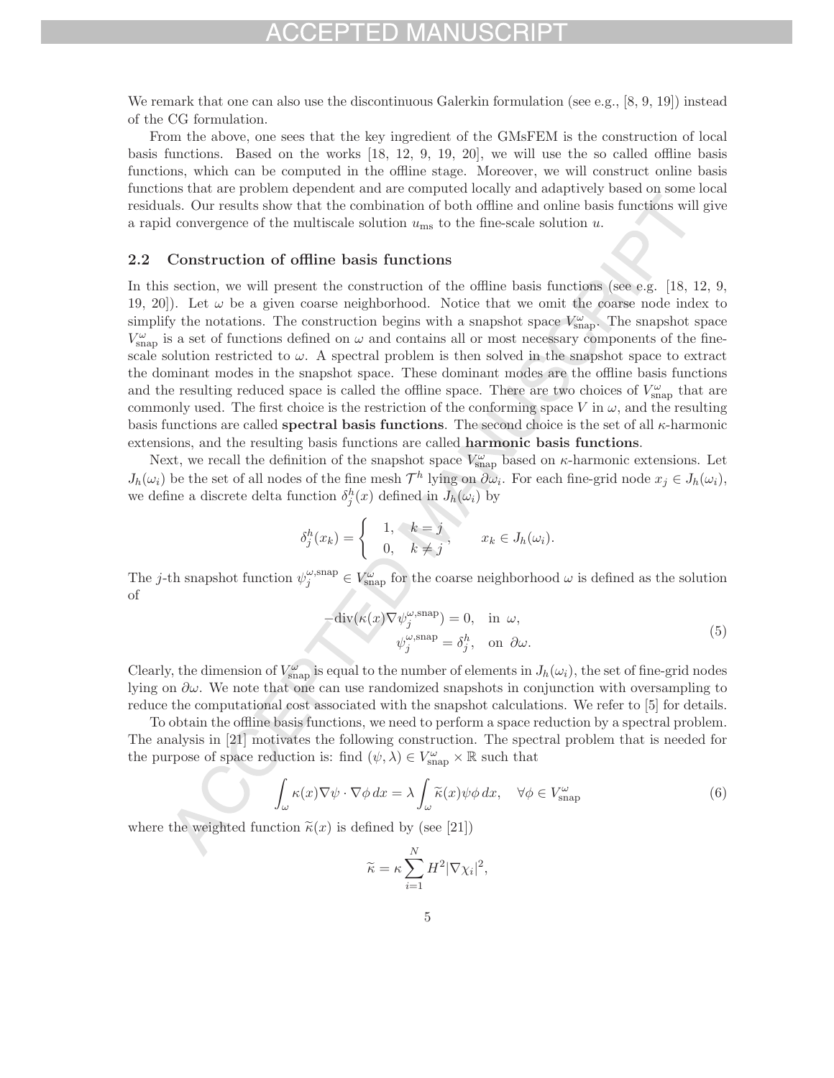## FPTED MAN

We remark that one can also use the discontinuous Galerkin formulation (see e.g., [8, 9, 19]) instead of the CG formulation.

From the above, one sees that the key ingredient of the GMsFEM is the construction of local basis functions. Based on the works [18, 12, 9, 19, 20], we will use the so called offline basis functions, which can be computed in the offline stage. Moreover, we will construct online basis functions that are problem dependent and are computed locally and adaptively based on some local residuals. Our results show that the combination of both offline and online basis functions will give a rapid convergence of the multiscale solution  $u_{\text{ms}}$  to the fine-scale solution  $u$ .

#### **2.2 Construction of offline basis functions**

In this section, we will present the construction of the offline basis functions (see e.g. [18, 12, 9, 19, 20]). Let  $\omega$  be a given coarse neighborhood. Notice that we omit the coarse node index to simplify the notations. The construction begins with a snapshot space  $V_{\text{snap}}^{\omega}$ . The snapshot space  $V_{\text{span}}^{\omega}$  is a set of functions defined on  $\omega$  and contains all or most necessary components of the finescale solution restricted to  $\omega$ . A spectral problem is then solved in the snapshot space to extract the dominant modes in the snapshot space. These dominant modes are the offline basis functions and the resulting reduced space is called the offline space. There are two choices of  $V_{\rm snan}^{\omega}$  that are commonly used. The first choice is the restriction of the conforming space V in  $\omega$ , and the resulting basis functions are called **spectral basis functions**. The second choice is the set of all κ-harmonic extensions, and the resulting basis functions are called **harmonic basis functions**.

Next, we recall the definition of the snapshot space  $V_{\text{snap}}^{\omega}$  based on  $\kappa$ -harmonic extensions. Let  $J_h(\omega_i)$  be the set of all nodes of the fine mesh  $\mathcal{T}^h$  lying on  $\partial \omega_i$ . For each fine-grid node  $x_i \in J_h(\omega_i)$ , we define a discrete delta function  $\delta_j^h(x)$  defined in  $J_h(\omega_i)$  by

$$
\delta_j^h(x_k) = \begin{cases} 1, & k = j \\ 0, & k \neq j \end{cases}, \qquad x_k \in J_h(\omega_i).
$$

The j-th snapshot function  $\psi_j^{\omega, \text{snap}} \in V_{\text{snap}}^{\omega}$  for the coarse neighborhood  $\omega$  is defined as the solution of

$$
-\text{div}(\kappa(x)\nabla\psi_j^{\omega,\text{snap}}) = 0, \text{ in } \omega,
$$
  

$$
\psi_j^{\omega,\text{snap}} = \delta_j^h, \text{ on } \partial\omega.
$$
 (5)

Clearly, the dimension of  $V_{\text{snap}}^{\omega}$  is equal to the number of elements in  $J_h(\omega_i)$ , the set of fine-grid nodes lying on  $\partial \omega$ . We note that one can use randomized snapshots in conjunction with oversampling to reduce the computational cost associated with the snapshot calculations. We refer to [5] for details.

To obtain the offline basis functions, we need to perform a space reduction by a spectral problem. The analysis in [21] motivates the following construction. The spectral problem that is needed for the purpose of space reduction is: find  $(\psi, \lambda) \in V_{\text{snap}}^{\omega} \times \mathbb{R}$  such that

$$
\int_{\omega} \kappa(x) \nabla \psi \cdot \nabla \phi \, dx = \lambda \int_{\omega} \widetilde{\kappa}(x) \psi \phi \, dx, \quad \forall \phi \in V_{\text{snap}}^{\omega}
$$
\n(6)

where the weighted function  $\tilde{\kappa}(x)$  is defined by (see [21])

$$
\widetilde{\kappa} = \kappa \sum_{i=1}^{N} H^2 |\nabla \chi_i|^2,
$$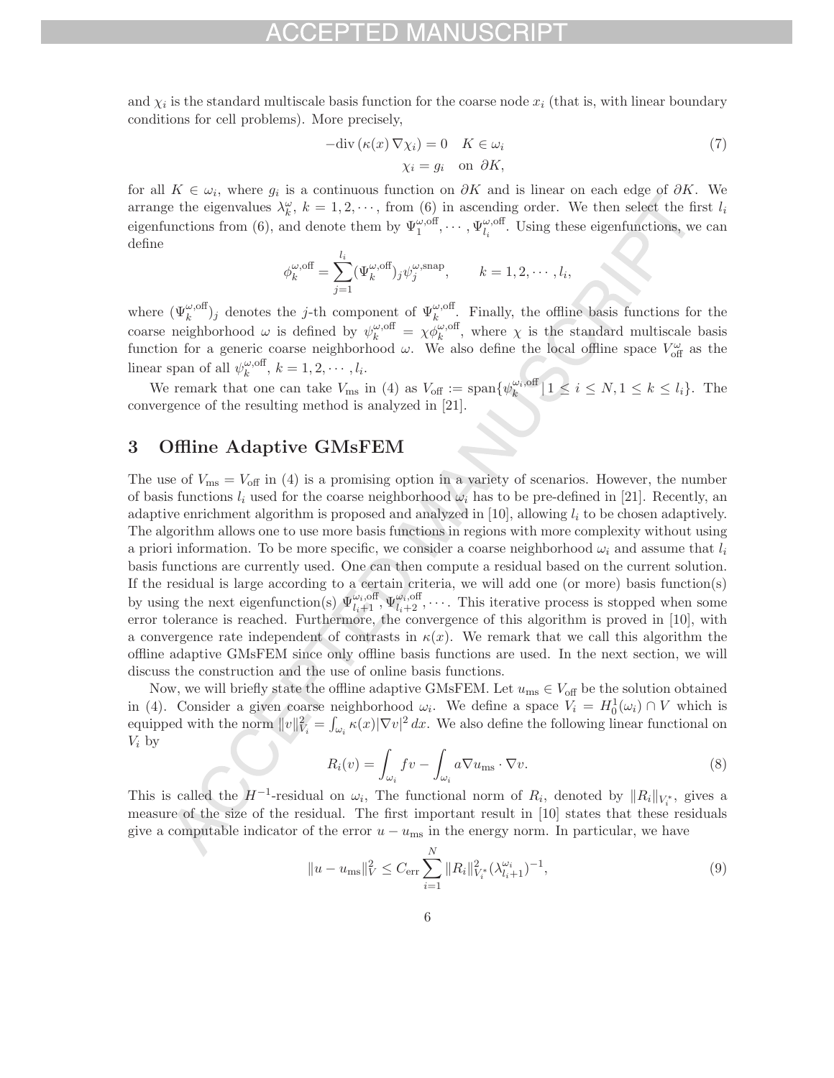## -1) MAI

and  $\chi_i$  is the standard multiscale basis function for the coarse node  $x_i$  (that is, with linear boundary conditions for cell problems). More precisely,

$$
- \operatorname{div} (\kappa(x) \nabla \chi_i) = 0 \quad K \in \omega_i
$$
  
 
$$
\chi_i = g_i \quad \text{on } \partial K,
$$
 (7)

for all  $K \in \omega_i$ , where  $g_i$  is a continuous function on  $\partial K$  and is linear on each edge of  $\partial K$ . We arrange the eigenvalues  $\lambda_k^{\omega}$ ,  $k = 1, 2, \cdots$ , from (6) in ascending order. We then select the first  $l_i$ eigenfunctions from (6), and denote them by  $\Psi_1^{\omega, \text{off}}, \cdots, \Psi_{l_i}^{\omega, \text{off}}$ . Using these eigenfunctions, we can define

$$
\phi_k^{\omega, \text{off}} = \sum_{j=1}^{l_i} (\Psi_k^{\omega, \text{off}})_j \psi_j^{\omega, \text{snap}}, \qquad k = 1, 2, \cdots, l_i,
$$

where  $(\Psi_k^{\omega, \text{off}})_j$  denotes the j-th component of  $\Psi_k^{\omega, \text{off}}$ . Finally, the offline basis functions for the coarse neighborhood  $\omega$  is defined by  $\psi_k^{\omega, \text{off}} = \chi \phi_k^{\omega, \text{off}}$ , where  $\chi$  is the standard multiscale basis function for a generic coarse neighborhood  $\omega$ . We also define the local offline space  $V_{\text{off}}^{\omega}$  as the linear span of all  $\psi_k^{\omega, \text{off}}, k = 1, 2, \cdots, l_i$ .

We remark that one can take  $V_{\text{ms}}$  in (4) as  $V_{\text{off}} := \text{span}\{\psi_k^{\omega_i, \text{off}} | 1 \le i \le N, 1 \le k \le l_i\}.$  The convergence of the resulting method is analyzed in [21].

#### **3 Offline Adaptive GMsFEM**

The use of  $V_{\text{ms}} = V_{\text{off}}$  in (4) is a promising option in a variety of scenarios. However, the number of basis functions  $l_i$  used for the coarse neighborhood  $\omega_i$  has to be pre-defined in [21]. Recently, an adaptive enrichment algorithm is proposed and analyzed in [10], allowing  $l_i$  to be chosen adaptively. The algorithm allows one to use more basis functions in regions with more complexity without using a priori information. To be more specific, we consider a coarse neighborhood  $\omega_i$  and assume that  $l_i$ basis functions are currently used. One can then compute a residual based on the current solution. If the residual is large according to a certain criteria, we will add one (or more) basis function(s) by using the next eigenfunction(s)  $\Psi_{l_i+1}^{\omega_i, \text{off}}, \Psi_{l_i+2}^{\omega_i, \text{off}}, \cdots$ . This iterative process is stopped when some error tolerance is reached. Furthermore, the convergence of this algorithm is proved in [10], with a convergence rate independent of contrasts in  $\kappa(x)$ . We remark that we call this algorithm the offline adaptive GMsFEM since only offline basis functions are used. In the next section, we will discuss the construction and the use of online basis functions.

Now, we will briefly state the offline adaptive GMsFEM. Let  $u_{\text{ms}} \in V_{\text{off}}$  be the solution obtained in (4). Consider a given coarse neighborhood  $\omega_i$ . We define a space  $V_i = H_0^1(\omega_i) \cap V$  which is equipped with the norm  $||v||_{V_i}^2 = \int_{\omega_i} \kappa(x) |\nabla v|^2 dx$ . We also define the following linear functional on  $V_i$  by

$$
R_i(v) = \int_{\omega_i} f v - \int_{\omega_i} a \nabla u_{\text{ms}} \cdot \nabla v.
$$
 (8)

This is called the  $H^{-1}$ -residual on  $\omega_i$ , The functional norm of  $R_i$ , denoted by  $||R_i||_{V_i^*}$ , gives a measure of the size of the residual. The first important result in [10] states that these residuals give a computable indicator of the error  $u - u_{\text{ms}}$  in the energy norm. In particular, we have

$$
||u - u_{\text{ms}}||_V^2 \le C_{\text{err}} \sum_{i=1}^N ||R_i||_{V_i^*}^2 (\lambda_{l_i+1}^{\omega_i})^{-1},
$$
\n(9)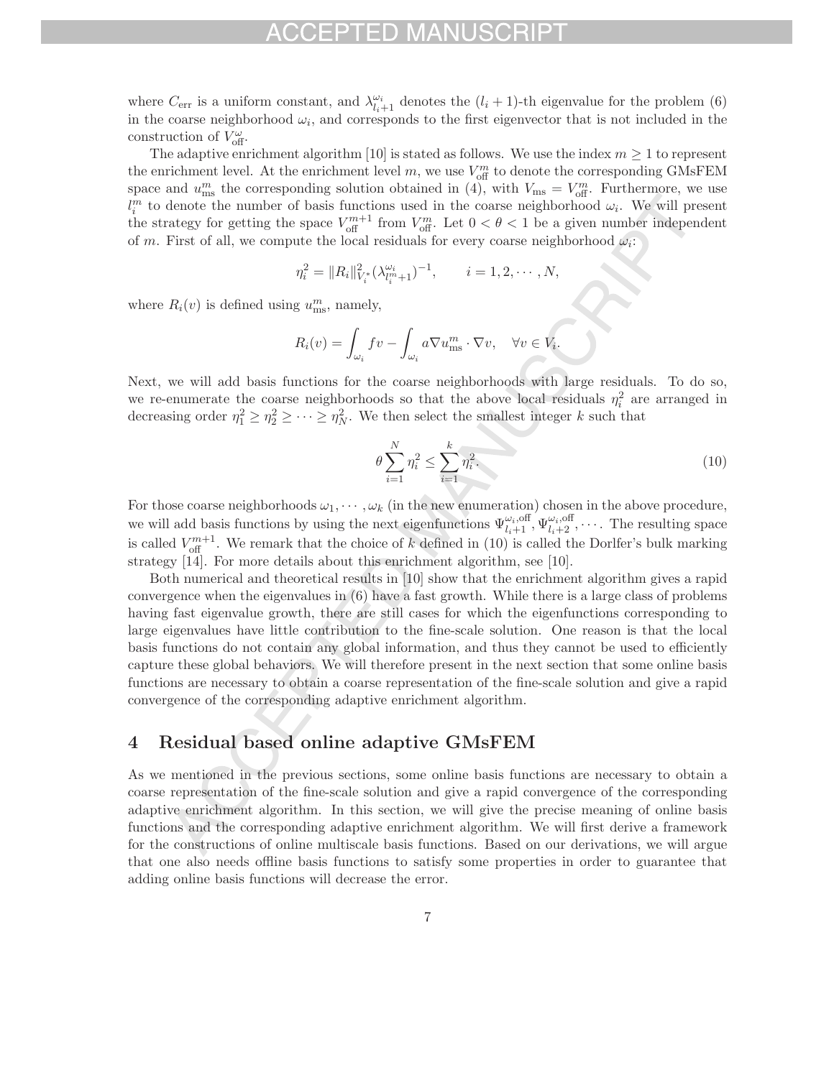## ED MANI I

where  $C_{\text{err}}$  is a uniform constant, and  $\lambda_{l_i+1}^{\omega_i}$  denotes the  $(l_i + 1)$ -th eigenvalue for the problem (6) in the coarse neighborhood  $\omega_i$ , and corresponds to the first eigenvector that is not included in the construction of  $V_{\text{off}}^{\omega}$ .

The adaptive enrichment algorithm [10] is stated as follows. We use the index  $m \geq 1$  to represent the enrichment level. At the enrichment level m, we use  $V_{\text{off}}^{m}$  to denote the corresponding GMsFEM space and  $u_{\text{ms}}^m$  the corresponding solution obtained in (4), with  $V_{\text{ms}} = V_{\text{off}}^m$ . Furthermore, we use  $l_i^m$  to denote the number of basis functions used in the coarse neighborhood  $\omega_i$ . We will present the strategy for getting the space  $V_{\text{off}}^{m+1}$  from  $V_{\text{off}}^m$ . Let  $0 < \theta < 1$  be a given number independent of m. First of all, we compute the local residuals for every coarse neighborhood  $\omega_i$ :

$$
\eta_i^2 = ||R_i||_{V_i^*}^2 (\lambda_{l_i^m+1}^{\omega_i})^{-1}, \qquad i = 1, 2, \cdots, N,
$$

where  $R_i(v)$  is defined using  $u_{\text{ms}}^m$ , namely,

$$
R_i(v) = \int_{\omega_i} f v - \int_{\omega_i} a \nabla u_{\text{ms}}^m \cdot \nabla v, \quad \forall v \in V_i.
$$

Next, we will add basis functions for the coarse neighborhoods with large residuals. To do so, we re-enumerate the coarse neighborhoods so that the above local residuals  $\eta_i^2$  are arranged in decreasing order  $\eta_1^2 \geq \eta_2^2 \geq \cdots \geq \eta_N^2$ . We then select the smallest integer k such that

$$
\theta \sum_{i=1}^{N} \eta_i^2 \le \sum_{i=1}^{k} \eta_i^2.
$$
\n(10)

For those coarse neighborhoods  $\omega_1, \dots, \omega_k$  (in the new enumeration) chosen in the above procedure, we will add basis functions by using the next eigenfunctions  $\Psi_{l_i+1}^{\omega_i, \text{off}}, \Psi_{l_i+2}^{\omega_i, \text{off}}, \cdots$ . The resulting space is called  $V_{\text{off}}^{m+1}$ . We remark that the choice of k defined in (10) is called the Dorlfer's bulk marking strategy [14]. For more details about this enrichment algorithm, see [10].

Both numerical and theoretical results in [10] show that the enrichment algorithm gives a rapid convergence when the eigenvalues in (6) have a fast growth. While there is a large class of problems having fast eigenvalue growth, there are still cases for which the eigenfunctions corresponding to large eigenvalues have little contribution to the fine-scale solution. One reason is that the local basis functions do not contain any global information, and thus they cannot be used to efficiently capture these global behaviors. We will therefore present in the next section that some online basis functions are necessary to obtain a coarse representation of the fine-scale solution and give a rapid convergence of the corresponding adaptive enrichment algorithm.

#### **4 Residual based online adaptive GMsFEM**

As we mentioned in the previous sections, some online basis functions are necessary to obtain a coarse representation of the fine-scale solution and give a rapid convergence of the corresponding adaptive enrichment algorithm. In this section, we will give the precise meaning of online basis functions and the corresponding adaptive enrichment algorithm. We will first derive a framework for the constructions of online multiscale basis functions. Based on our derivations, we will argue that one also needs offline basis functions to satisfy some properties in order to guarantee that adding online basis functions will decrease the error.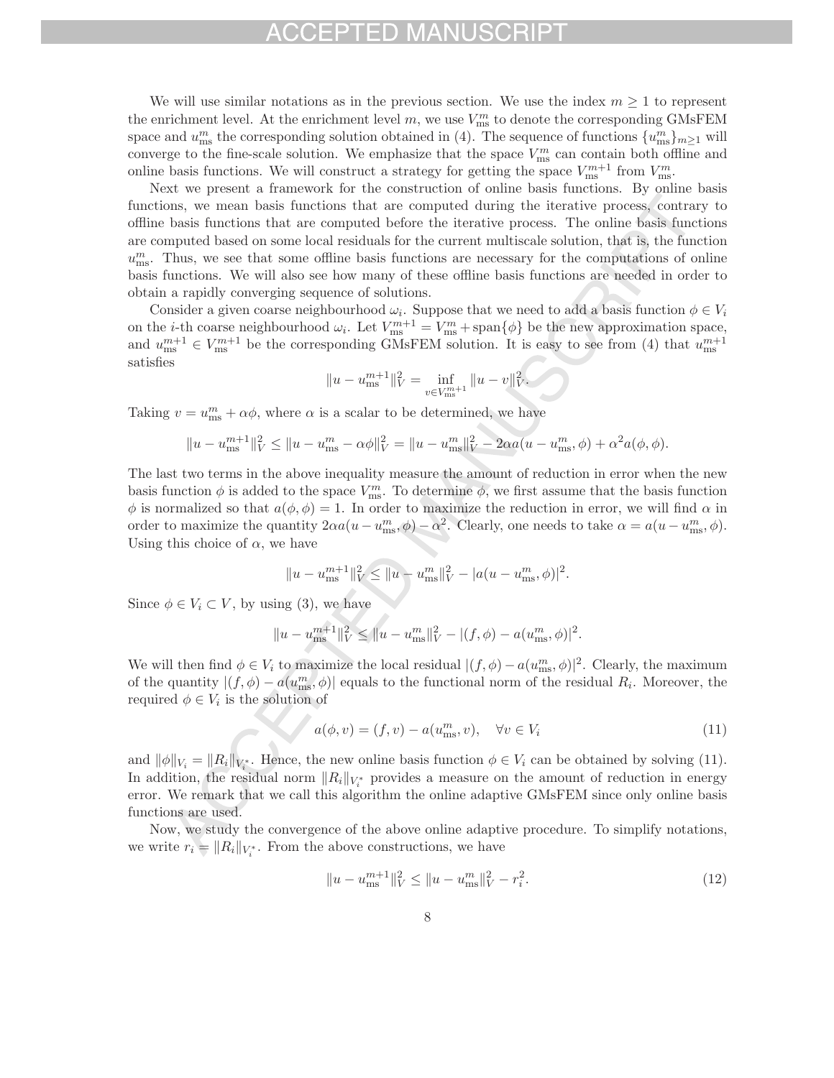### FD MANU

We will use similar notations as in the previous section. We use the index  $m \geq 1$  to represent the enrichment level. At the enrichment level  $m$ , we use  $V_{\text{ms}}^m$  to denote the corresponding GMsFEM space and  $u_m^m$  the corresponding solution obtained in (4). The sequence of functions  $\{u_m^m\}_{m\geq 1}$  will converge to the fine-scale solution. We emphasize that the space  $V_{\text{ms}}^m$  can contain both offline and online basis functions. We will construct a strategy for getting the space  $V_{\text{ms}}^{m+1}$  from  $V_{\text{ms}}^m$ .

Next we present a framework for the construction of online basis functions. By online basis functions, we mean basis functions that are computed during the iterative process, contrary to offline basis functions that are computed before the iterative process. The online basis functions are computed based on some local residuals for the current multiscale solution, that is, the function  $u_{\text{ms}}^m$ . Thus, we see that some offline basis functions are necessary for the computations of online basis functions. We will also see how many of these offline basis functions are needed in order to obtain a rapidly converging sequence of solutions.

Consider a given coarse neighbourhood  $\omega_i$ . Suppose that we need to add a basis function  $\phi \in V_i$ on the *i*-th coarse neighbourhood  $\omega_i$ . Let  $V_{\text{ms}}^{m+1} = V_{\text{ms}}^m + \text{span}\{\phi\}$  be the new approximation space, and  $u^{m+1}_{\text{ms}} \in V^{m+1}_{\text{ms}}$  be the corresponding GMsFEM solution. It is easy to see from (4) that  $u^{m+1}_{\text{ms}}$ satisfies

$$
||u - u^{m+1}_{\text{ms}}||_V^2 = \inf_{v \in V^{m+1}_{\text{ms}}} ||u - v||_V^2.
$$

Taking  $v = u_{\text{ms}}^m + \alpha \phi$ , where  $\alpha$  is a scalar to be determined, we have

$$
||u - u_{\text{ms}}^{m+1}||_V^2 \le ||u - u_{\text{ms}}^m - \alpha\phi||_V^2 = ||u - u_{\text{ms}}^m||_V^2 - 2\alpha a(u - u_{\text{ms}}^m, \phi) + \alpha^2 a(\phi, \phi).
$$

The last two terms in the above inequality measure the amount of reduction in error when the new basis function  $\phi$  is added to the space  $V_{\text{ms}}^m$ . To determine  $\phi$ , we first assume that the basis function  $\phi$  is normalized so that  $a(\phi, \phi) = 1$ . In order to maximize the reduction in error, we will find  $\alpha$  in order to maximize the quantity  $2\alpha a(u - u_{\text{ms}}^m, \phi) - \alpha^2$ . Clearly, one needs to take  $\alpha = a(u - u_{\text{ms}}^m, \phi)$ . Using this choice of  $\alpha$ , we have

$$
||u - u_{\text{ms}}^{m+1}||_V^2 \le ||u - u_{\text{ms}}^m||_V^2 - |a(u - u_{\text{ms}}^m, \phi)|^2.
$$

Since  $\phi \in V_i \subset V$ , by using (3), we have

$$
||u - u_{\text{ms}}^{m+1}||_V^2 \le ||u - u_{\text{ms}}^m||_V^2 - |(f, \phi) - a(u_{\text{ms}}^m, \phi)|^2.
$$

We will then find  $\phi \in V_i$  to maximize the local residual  $|(f, \phi) - a(u_{\text{ms}}^m, \phi)|^2$ . Clearly, the maximum of the quantity  $|(f, \phi) - a(u_{\text{ms}}^m, \phi)|$  equals to the functional norm of the residual  $R_i$ . Moreover, the required  $\phi \in V_i$  is the solution of

$$
a(\phi, v) = (f, v) - a(u_{\text{ms}}^m, v), \quad \forall v \in V_i
$$
\n
$$
(11)
$$

and  $\|\phi\|_{V_i} = \|R_i\|_{V_i^*}$ . Hence, the new online basis function  $\phi \in V_i$  can be obtained by solving (11). In addition, the residual norm  $||R_i||_{V_i^*}$  provides a measure on the amount of reduction in energy error. We remark that we call this algorithm the online adaptive GMsFEM since only online basis functions are used.

Now, we study the convergence of the above online adaptive procedure. To simplify notations, we write  $r_i = ||R_i||_{V_i^*}$ . From the above constructions, we have

$$
||u - u_{\text{ms}}^{m+1}||_V^2 \le ||u - u_{\text{ms}}^m||_V^2 - r_i^2. \tag{12}
$$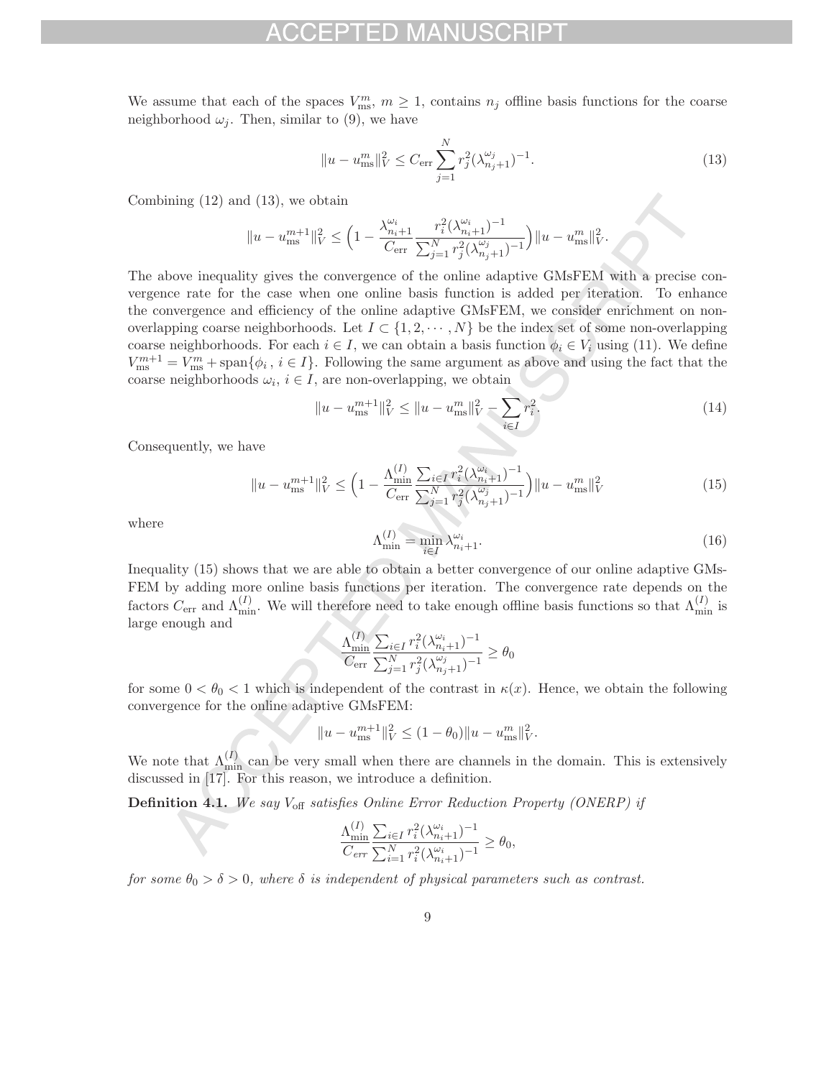#### FD. **MAN**

We assume that each of the spaces  $V_{\text{ms}}^m$ ,  $m \geq 1$ , contains  $n_j$  offline basis functions for the coarse neighborhood  $\omega_j$ . Then, similar to (9), we have

$$
||u - u_{\text{ms}}^{m}||_{V}^{2} \le C_{\text{err}} \sum_{j=1}^{N} r_{j}^{2} (\lambda_{n_{j}+1}^{\omega_{j}})^{-1}.
$$
\n(13)

Combining (12) and (13), we obtain

$$
||u-u^{m+1}_{\text{ms}}||_V^2 \leq \Big(1-\frac{\lambda_{n_i+1}^{\omega_i}}{C_{\text{err}}}\frac{r_i^2(\lambda_{n_i+1}^{\omega_i})^{-1}}{\sum_{j=1}^N r_j^2(\lambda_{n_j+1}^{\omega_j})^{-1}}\Big)||u-u^m_{\text{ms}}||_V^2.
$$

The above inequality gives the convergence of the online adaptive GMsFEM with a precise convergence rate for the case when one online basis function is added per iteration. To enhance the convergence and efficiency of the online adaptive GMsFEM, we consider enrichment on nonoverlapping coarse neighborhoods. Let  $I \subset \{1, 2, \cdots, N\}$  be the index set of some non-overlapping coarse neighborhoods. For each  $i \in I$ , we can obtain a basis function  $\phi_i \in V_i$  using (11). We define  $V_{\text{ms}}^{m+1} = V_{\text{ms}}^m + \text{span}\{\phi_i, i \in I\}$ . Following the same argument as above and using the fact that the coarse neighborhoods  $\omega_i$ ,  $i \in I$ , are non-overlapping, we obtain

$$
||u - u^{m+1}_{\text{ms}}||_V^2 \le ||u - u^m_{\text{ms}}||_V^2 - \sum_{i \in I} r_i^2.
$$
 (14)

Consequently, we have

$$
||u - u_{\text{ms}}^{m+1}||_V^2 \le \left(1 - \frac{\Lambda_{\text{min}}^{(I)}}{C_{\text{err}}} \frac{\sum_{i \in I} r_i^2 (\lambda_{n_i+1}^{\omega_i})^{-1}}{\sum_{j=1}^N r_j^2 (\lambda_{n_j+1}^{\omega_j})^{-1}}\right) ||u - u_{\text{ms}}^m||_V^2
$$
\n(15)

where

$$
\Lambda_{\min}^{(I)} = \min_{i \in I} \lambda_{n_i+1}^{\omega_i}.
$$
\n(16)

Inequality (15) shows that we are able to obtain a better convergence of our online adaptive GMs-FEM by adding more online basis functions per iteration. The convergence rate depends on the factors  $C_{\text{err}}$  and  $\Lambda_{\text{min}}^{(I)}$ . We will therefore need to take enough offline basis functions so that  $\Lambda_{\text{min}}^{(I)}$  is large enough and

$$
\frac{\Lambda_{\min}^{(I)}}{C_{\text{err}}}\frac{\sum_{i\in I} r_i^2(\lambda_{n_i+1}^{\omega_i})^{-1}}{\sum_{j=1}^N r_j^2(\lambda_{n_j+1}^{\omega_j})^{-1}}\geq \theta_0
$$

for some  $0 < \theta_0 < 1$  which is independent of the contrast in  $\kappa(x)$ . Hence, we obtain the following convergence for the online adaptive GMsFEM:

$$
||u - u^{m+1}_{\text{ms}}||_V^2 \le (1 - \theta_0) ||u - u^m_{\text{ms}}||_V^2.
$$

We note that  $\Lambda_{\min}^{(I)}$  can be very small when there are channels in the domain. This is extensively discussed in [17]. For this reason, we introduce a definition.

**Definition 4.1.** We say  $V_{\text{off}}$  satisfies Online Error Reduction Property (ONERP) if

$$
\frac{\Lambda_{\min}^{(I)}}{C_{err}} \frac{\sum_{i \in I} r_i^2 (\lambda_{n_i+1}^{\omega_i})^{-1}}{\sum_{i=1}^N r_i^2 (\lambda_{n_i+1}^{\omega_i})^{-1}} \geq \theta_0,
$$

for some  $\theta_0 > \delta > 0$ , where  $\delta$  is independent of physical parameters such as contrast.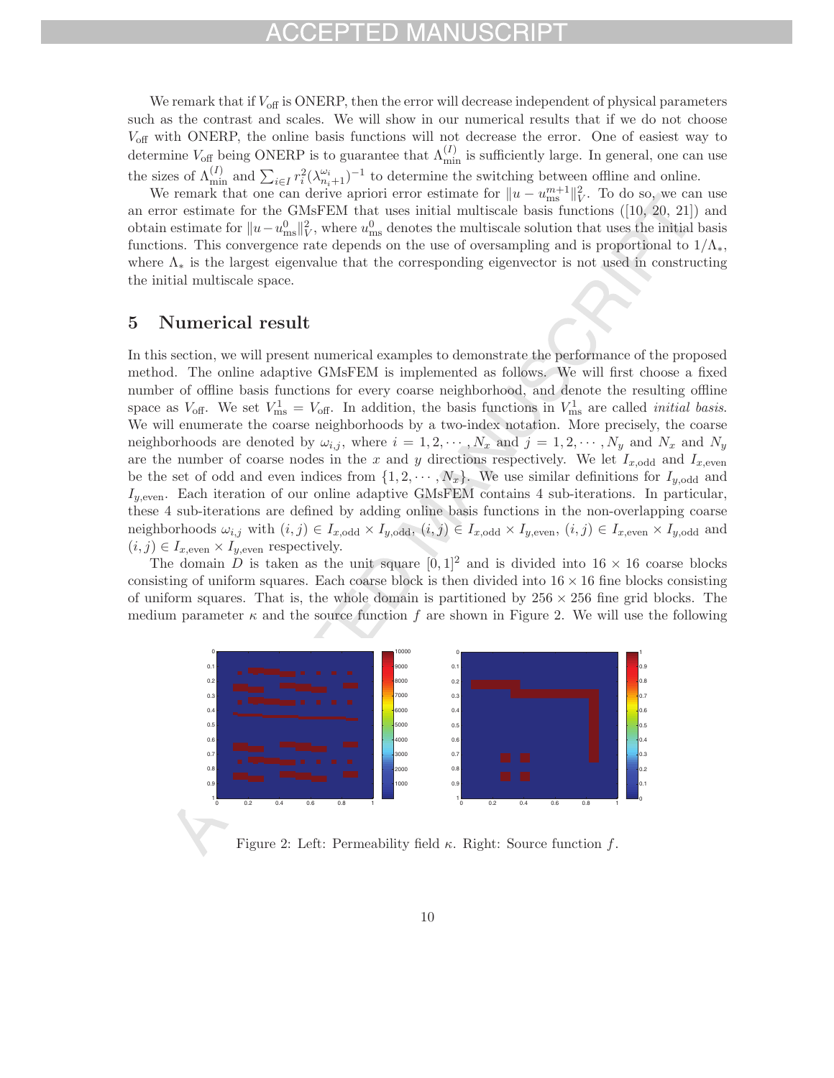We remark that if  $V_{\text{off}}$  is ONERP, then the error will decrease independent of physical parameters such as the contrast and scales. We will show in our numerical results that if we do not choose  $V_{\text{off}}$  with ONERP, the online basis functions will not decrease the error. One of easiest way to determine  $V_{\text{off}}$  being ONERP is to guarantee that  $\Lambda_{\text{min}}^{(I)}$  is sufficiently large. In general, one can use the sizes of  $\Lambda_{\min}^{(I)}$  and  $\sum_{i\in I} r_i^2(\lambda_{n_i+1}^{\omega_i})^{-1}$  to determine the switching between offline and online.

We remark that one can derive apriori error estimate for  $||u - u_{\text{ms}}^{m+1}||_V^2$ . To do so, we can use an error estimate for the GMsFEM that uses initial multiscale basis functions ([10, 20, 21]) and obtain estimate for  $||u - u_{\text{ms}}^0||_V^2$ , where  $u_{\text{ms}}^0$  denotes the multiscale solution that uses the initial basis functions. This convergence rate depends on the use of oversampling and is proportional to  $1/\Lambda_*$ , where  $\Lambda_*$  is the largest eigenvalue that the corresponding eigenvector is not used in constructing the initial multiscale space.

#### **5 Numerical result**

In this section, we will present numerical examples to demonstrate the performance of the proposed method. The online adaptive GMsFEM is implemented as follows. We will first choose a fixed number of offline basis functions for every coarse neighborhood, and denote the resulting offline space as  $V_{\text{off}}$ . We set  $V_{\text{ms}}^1 = V_{\text{off}}$ . In addition, the basis functions in  $V_{\text{ms}}^1$  are called *initial basis*. We will enumerate the coarse neighborhoods by a two-index notation. More precisely, the coarse neighborhoods are denoted by  $\omega_{i,j}$ , where  $i = 1, 2, \cdots, N_x$  and  $j = 1, 2, \cdots, N_y$  and  $N_x$  and  $N_y$ are the number of coarse nodes in the x and y directions respectively. We let  $I_{x,odd}$  and  $I_{x,even}$ be the set of odd and even indices from  $\{1, 2, \cdots, N_x\}$ . We use similar definitions for  $I_{y, \text{odd}}$  and  $I_{y,\text{even}}$ . Each iteration of our online adaptive GMsFEM contains 4 sub-iterations. In particular, these 4 sub-iterations are defined by adding online basis functions in the non-overlapping coarse neighborhoods  $\omega_{i,j}$  with  $(i, j) \in I_{x, \text{odd}} \times I_{y, \text{odd}}$ ,  $(i, j) \in I_{x, \text{odd}} \times I_{y, \text{even}}$ ,  $(i, j) \in I_{x, \text{even}} \times I_{y, \text{odd}}$  and  $(i,j) \in I_{x,\text{even}} \times I_{y,\text{even}}$  respectively.

The domain D is taken as the unit square  $[0, 1]^2$  and is divided into  $16 \times 16$  coarse blocks consisting of uniform squares. Each coarse block is then divided into  $16 \times 16$  fine blocks consisting of uniform squares. That is, the whole domain is partitioned by  $256 \times 256$  fine grid blocks. The medium parameter  $\kappa$  and the source function f are shown in Figure 2. We will use the following



Figure 2: Left: Permeability field  $\kappa$ . Right: Source function f.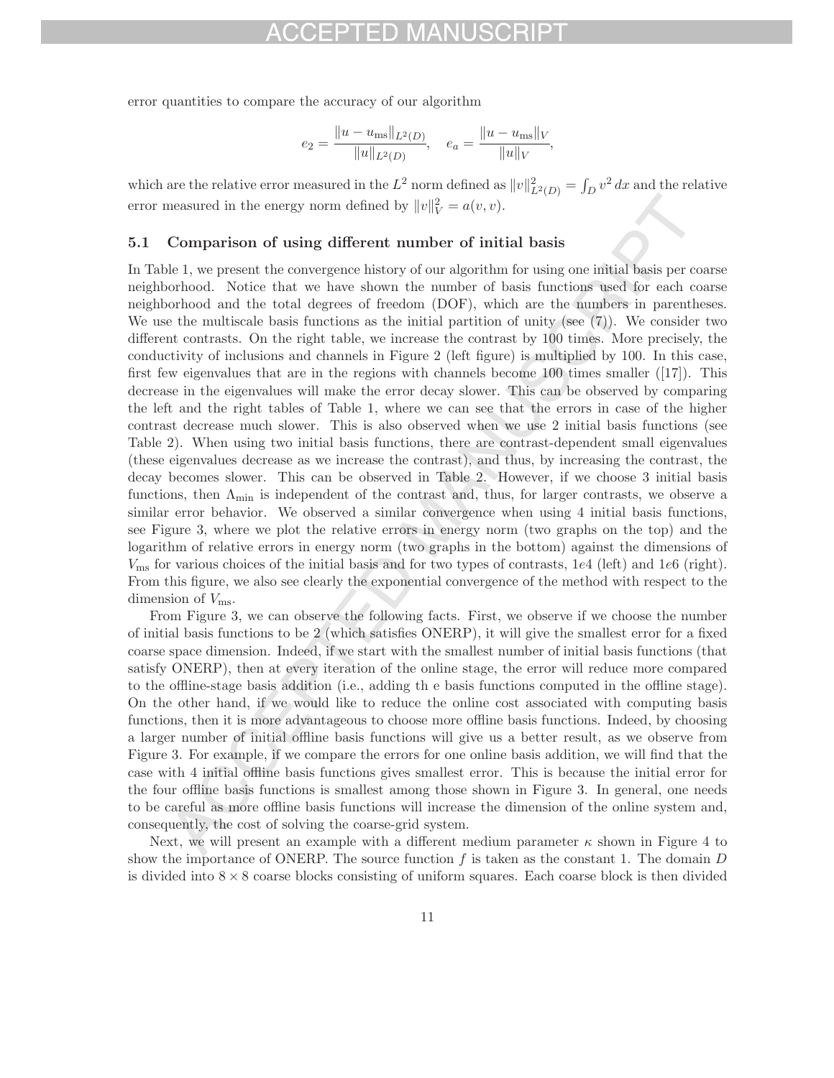## CEPTED MAN

error quantities to compare the accuracy of our algorithm

$$
e_2 = \frac{\|u - u_{\text{ms}}\|_{L^2(D)}}{\|u\|_{L^2(D)}}, \quad e_a = \frac{\|u - u_{\text{ms}}\|_V}{\|u\|_V},
$$

which are the relative error measured in the  $L^2$  norm defined as  $||v||_{L^2(D)}^2 = \int_D v^2 dx$  and the relative error measured in the energy norm defined by  $||v||_V^2 = a(v, v)$ .

#### **5.1 Comparison of using different number of initial basis**

In Table 1, we present the convergence history of our algorithm for using one initial basis per coarse neighborhood. Notice that we have shown the number of basis functions used for each coarse neighborhood and the total degrees of freedom (DOF), which are the numbers in parentheses. We use the multiscale basis functions as the initial partition of unity (see (7)). We consider two different contrasts. On the right table, we increase the contrast by 100 times. More precisely, the conductivity of inclusions and channels in Figure 2 (left figure) is multiplied by 100. In this case, first few eigenvalues that are in the regions with channels become 100 times smaller  $(17)$ . This decrease in the eigenvalues will make the error decay slower. This can be observed by comparing the left and the right tables of Table 1, where we can see that the errors in case of the higher contrast decrease much slower. This is also observed when we use 2 initial basis functions (see Table 2). When using two initial basis functions, there are contrast-dependent small eigenvalues (these eigenvalues decrease as we increase the contrast), and thus, by increasing the contrast, the decay becomes slower. This can be observed in Table 2. However, if we choose 3 initial basis functions, then  $\Lambda_{\text{min}}$  is independent of the contrast and, thus, for larger contrasts, we observe a similar error behavior. We observed a similar convergence when using 4 initial basis functions, see Figure 3, where we plot the relative errors in energy norm (two graphs on the top) and the logarithm of relative errors in energy norm (two graphs in the bottom) against the dimensions of  $V_{\text{ms}}$  for various choices of the initial basis and for two types of contrasts, 1e4 (left) and 1e6 (right). From this figure, we also see clearly the exponential convergence of the method with respect to the dimension of  $V_{\text{ms}}$ .

From Figure 3, we can observe the following facts. First, we observe if we choose the number of initial basis functions to be 2 (which satisfies ONERP), it will give the smallest error for a fixed coarse space dimension. Indeed, if we start with the smallest number of initial basis functions (that satisfy ONERP), then at every iteration of the online stage, the error will reduce more compared to the offline-stage basis addition (i.e., adding th e basis functions computed in the offline stage). On the other hand, if we would like to reduce the online cost associated with computing basis functions, then it is more advantageous to choose more offline basis functions. Indeed, by choosing a larger number of initial offline basis functions will give us a better result, as we observe from Figure 3. For example, if we compare the errors for one online basis addition, we will find that the case with 4 initial offline basis functions gives smallest error. This is because the initial error for the four offline basis functions is smallest among those shown in Figure 3. In general, one needs to be careful as more offline basis functions will increase the dimension of the online system and, consequently, the cost of solving the coarse-grid system.

Next, we will present an example with a different medium parameter  $\kappa$  shown in Figure 4 to show the importance of ONERP. The source function  $f$  is taken as the constant 1. The domain  $D$ is divided into  $8 \times 8$  coarse blocks consisting of uniform squares. Each coarse block is then divided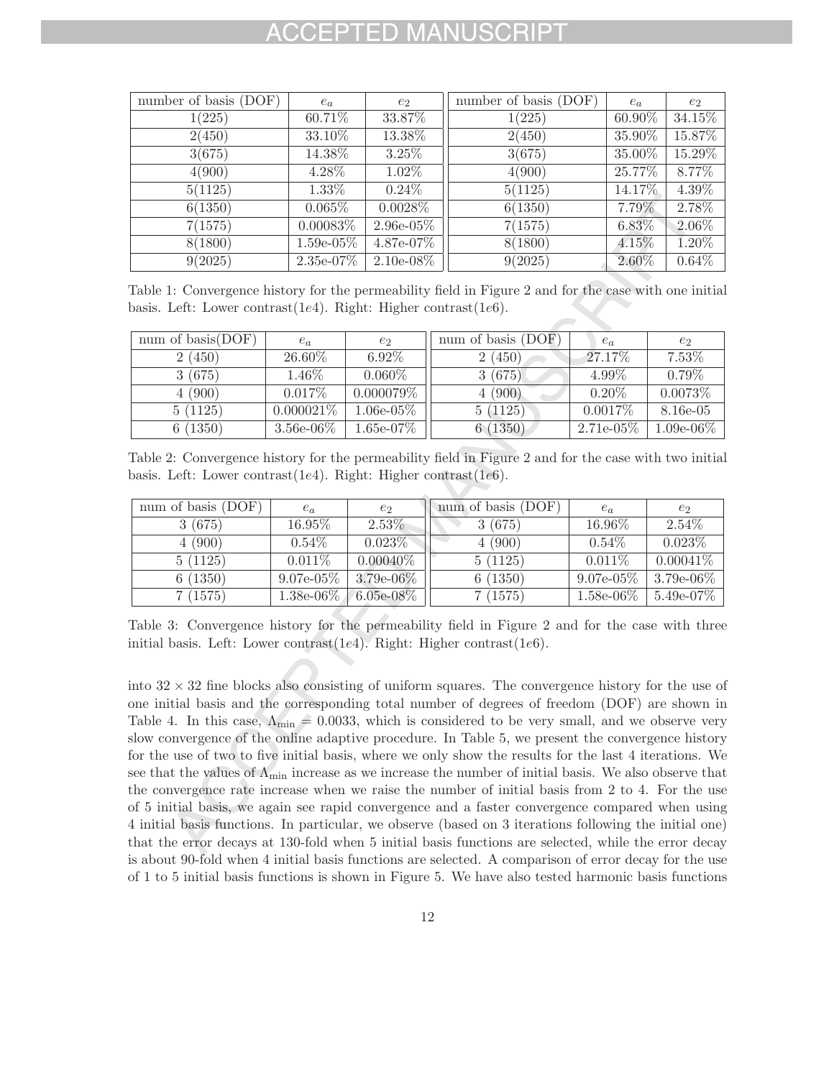# $-1$ )

| number of basis (DOF) | $e_a$       | $e_2$        | number of basis (DOF) | $e_a$  | $e_2$    |
|-----------------------|-------------|--------------|-----------------------|--------|----------|
| 1(225)                | 60.71%      | 33.87%       | 1(225)                | 60.90% | 34.15%   |
| 2(450)                | 33.10%      | 13.38%       | 2(450)                | 35.90% | 15.87%   |
| 3(675)                | 14.38%      | 3.25%        | 3(675)                | 35.00% | 15.29%   |
| 4(900)                | 4.28%       | 1.02%        | 4(900)                | 25.77% | 8.77%    |
| 5(1125)               | 1.33%       | $0.24\%$     | 5(1125)               | 14.17% | 4.39%    |
| 6(1350)               | $0.065\%$   | $0.0028\%$   | 6(1350)               | 7.79%  | 2.78%    |
| 7(1575)               | $0.00083\%$ | $2.96e-05%$  | 7(1575)               | 6.83%  | $2.06\%$ |
| 8(1800)               | $1.59e-05%$ | 4.87e-07%    | 8(1800)               | 4.15%  | 1.20%    |
| 9(2025)               | 2.35e-07%   | $2.10e-08\%$ | 9(2025)               | 2.60%  | $0.64\%$ |

Table 1: Convergence history for the permeability field in Figure 2 and for the case with one initial basis. Left: Lower contrast(1e4). Right: Higher contrast(1e6).

| num of basis $(DOF)$ | $e_a$        | $e_2$            | num of basis (DOF) | $e_a$       | $e_2$        |
|----------------------|--------------|------------------|--------------------|-------------|--------------|
| 2(450)               | $26.60\%$    | 6.92%            | 2(450)             | 27.17%      | 7.53%        |
| 3(675)               | 1.46\%       | $0.060\%$        | 3(675)             | 4.99%       | 0.79%        |
| 4(900)               | $0.017\%$    | $0.000079\%$     | 4(900)             | $0.20\%$    | 0.0073%      |
| 5(1125)              | $0.000021\%$ | $1.06$ e- $05\%$ | 5(1125)            | 0.0017%     | 8.16e-05     |
| 6(1350)              | $3.56e-06%$  | $1.65e-07\%$     | 6(1350)            | $2.71e-05%$ | $1.09e-06\%$ |

Table 2: Convergence history for the permeability field in Figure 2 and for the case with two initial basis. Left: Lower contrast(1e4). Right: Higher contrast(1e6).

| num of basis (DOF) | $e_a$            | $e_2$        | num of basis (DOF) | $e_a$         | $e_2$        |
|--------------------|------------------|--------------|--------------------|---------------|--------------|
| 3(675)             | 16.95%           | $2.53\%$     | 3(675)             | 16.96%        | 2.54%        |
| 4(900)             | $0.54\%$         | $0.023\%$    | 4(900)             | $0.54\%$      | $0.023\%$    |
| 5(1125)            | $0.011\%$        | $0.00040\%$  | 5(1125)            | $0.011\%$     | $0.00041\%$  |
| 6(1350)            | $9.07$ e- $05\%$ | $3.79e-06\%$ | 6(1350)            | $9.07 - 05\%$ | 3.79e-06\%   |
| 7(1575)            | 1.38e-06%        | $6.05e-08\%$ | 7(1575)            | $1.58e-06\%$  | $5.49e-07\%$ |

Table 3: Convergence history for the permeability field in Figure 2 and for the case with three initial basis. Left: Lower contrast(1e4). Right: Higher contrast(1e6).

into  $32 \times 32$  fine blocks also consisting of uniform squares. The convergence history for the use of one initial basis and the corresponding total number of degrees of freedom (DOF) are shown in Table 4. In this case,  $\Lambda_{\text{min}} = 0.0033$ , which is considered to be very small, and we observe very slow convergence of the online adaptive procedure. In Table 5, we present the convergence history for the use of two to five initial basis, where we only show the results for the last 4 iterations. We see that the values of  $\Lambda_{\rm min}$  increase as we increase the number of initial basis. We also observe that the convergence rate increase when we raise the number of initial basis from 2 to 4. For the use of 5 initial basis, we again see rapid convergence and a faster convergence compared when using 4 initial basis functions. In particular, we observe (based on 3 iterations following the initial one) that the error decays at 130-fold when 5 initial basis functions are selected, while the error decay is about 90-fold when 4 initial basis functions are selected. A comparison of error decay for the use of 1 to 5 initial basis functions is shown in Figure 5. We have also tested harmonic basis functions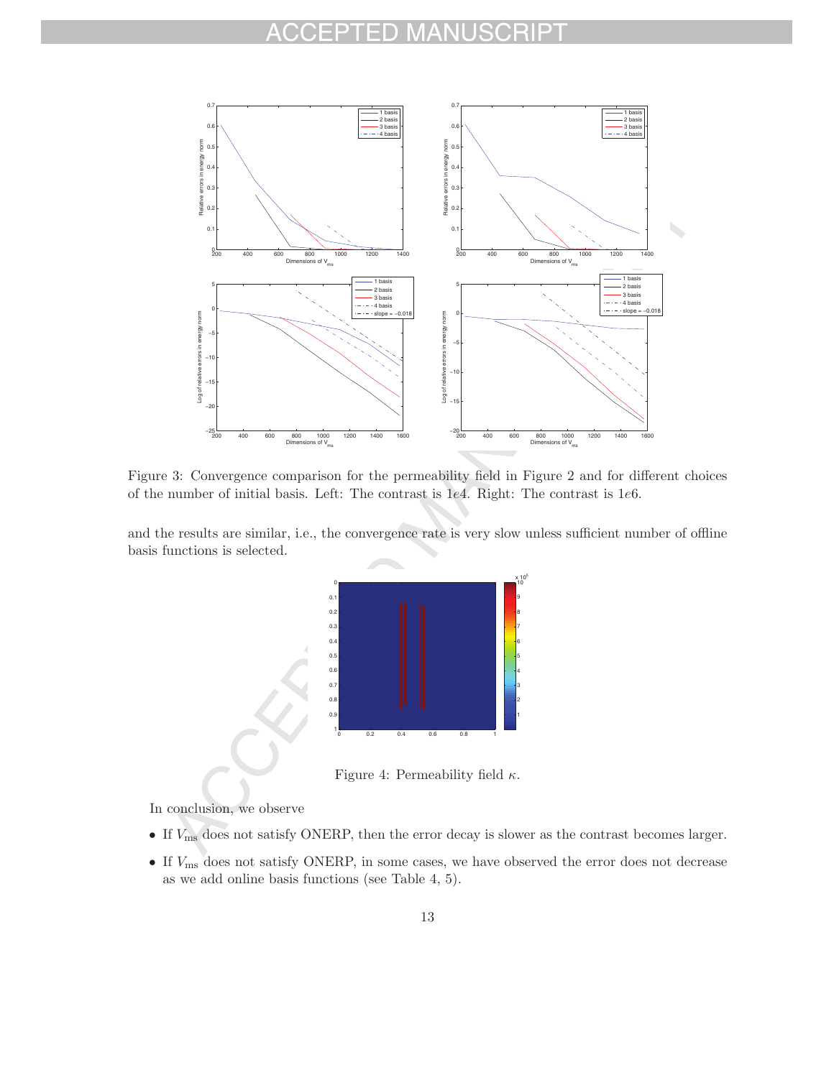#### $\mathcal{S}$ CRII  $=$   $\Box$ MAN



Figure 3: Convergence comparison for the permeability field in Figure 2 and for different choices of the number of initial basis. Left: The contrast is 1e4. Right: The contrast is 1e6.

and the results are similar, i.e., the convergence rate is very slow unless sufficient number of offline basis functions is selected.



Figure 4: Permeability field  $\kappa$ .

In conclusion, we observe

- If  $V_{\text{ms}}$  does not satisfy ONERP, then the error decay is slower as the contrast becomes larger.
- $\bullet$  If  $V_{\text{ms}}$  does not satisfy ONERP, in some cases, we have observed the error does not decrease as we add online basis functions (see Table 4, 5).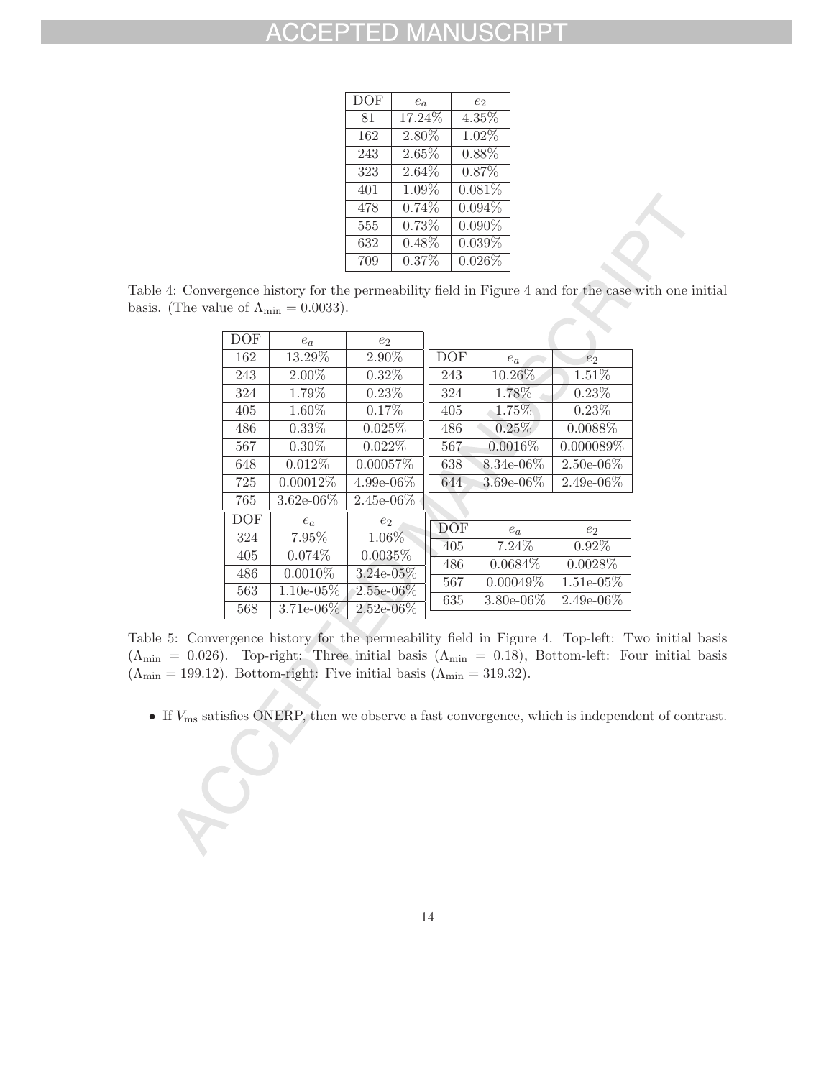## D

| <b>DOF</b> | $e_a$    | e <sub>2</sub> |
|------------|----------|----------------|
| 81         | 17.24\%  | 4.35%          |
| 162        | 2.80%    | $1.02\%$       |
| 243        | $2.65\%$ | $0.88\%$       |
| 323        | 2.64%    | 0.87%          |
| 401        | 1.09%    | 0.081%         |
| 478        | 0.74%    | $0.094\%$      |
| 555        | 0.73%    | $0.090\%$      |
| 632        | 0.48%    | 0.039%         |
| 709        | 0.37%    | $0.026\%$      |

Table 4: Convergence history for the permeability field in Figure 4 and for the case with one initial basis. (The value of  $\Lambda_{\text{min}} = 0.0033$ ).

| DOF | $e_a$        | e <sub>2</sub>   |            |              |                |
|-----|--------------|------------------|------------|--------------|----------------|
| 162 | 13.29%       | 2.90%            | <b>DOF</b> | $e_a$        | e <sub>2</sub> |
| 243 | $2.00\%$     | $0.32\%$         | 243        | 10.26%       | $1.51\%$       |
| 324 | 1.79%        | $0.23\%$         | 324        | 1.78%        | $0.23\%$       |
| 405 | 1.60%        | 0.17%            | 405        | $1.75\%$     | $0.23\%$       |
| 486 | $0.33\%$     | $0.025\%$        | 486        | $0.25\%$     | 0.0088%        |
| 567 | $0.30\%$     | $0.022\%$        | 567        | $0.0016\%$   | $0.000089\%$   |
| 648 | 0.012%       | $0.00057\%$      | 638        | $8.34e-06\%$ | $2.50e-06\%$   |
| 725 | 0.00012%     | $4.99e-06\%$     | 644        | $3.69e-06\%$ | $2.49e-06\%$   |
| 765 | $3.62e-06\%$ | $2.45$ e-06 $\%$ |            |              |                |
| DOF | $e_a$        | e <sub>2</sub>   |            |              |                |
| 324 | 7.95%        | $1.06\%$         | <b>DOF</b> | $e_a$        | $e_2$          |
| 405 | $0.074\%$    | $0.0035\%$       | 405        | 7.24%        | $0.92\%$       |
|     |              |                  | 486        | $0.0684\%$   | 0.0028%        |
| 486 | $0.0010\%$   | $3.24e-05%$      | 567        | $0.00049\%$  | $1.51e-05%$    |
| 563 | $1.10e-05%$  | $2.55e-06%$      |            | $3.80e-06\%$ | $2.49e-06\%$   |
| 568 | $3.71e-06\%$ | $2.52e-06%$      | 635        |              |                |

Table 5: Convergence history for the permeability field in Figure 4. Top-left: Two initial basis  $(\Lambda_{\text{min}} = 0.026)$ . Top-right: Three initial basis  $(\Lambda_{\text{min}} = 0.18)$ , Bottom-left: Four initial basis  $(\Lambda_{\text{min}} = 199.12)$ . Bottom-right: Five initial basis  $(\Lambda_{\text{min}} = 319.32)$ .

• If  $V_{\text{ms}}$  satisfies ONERP, then we observe a fast convergence, which is independent of contrast.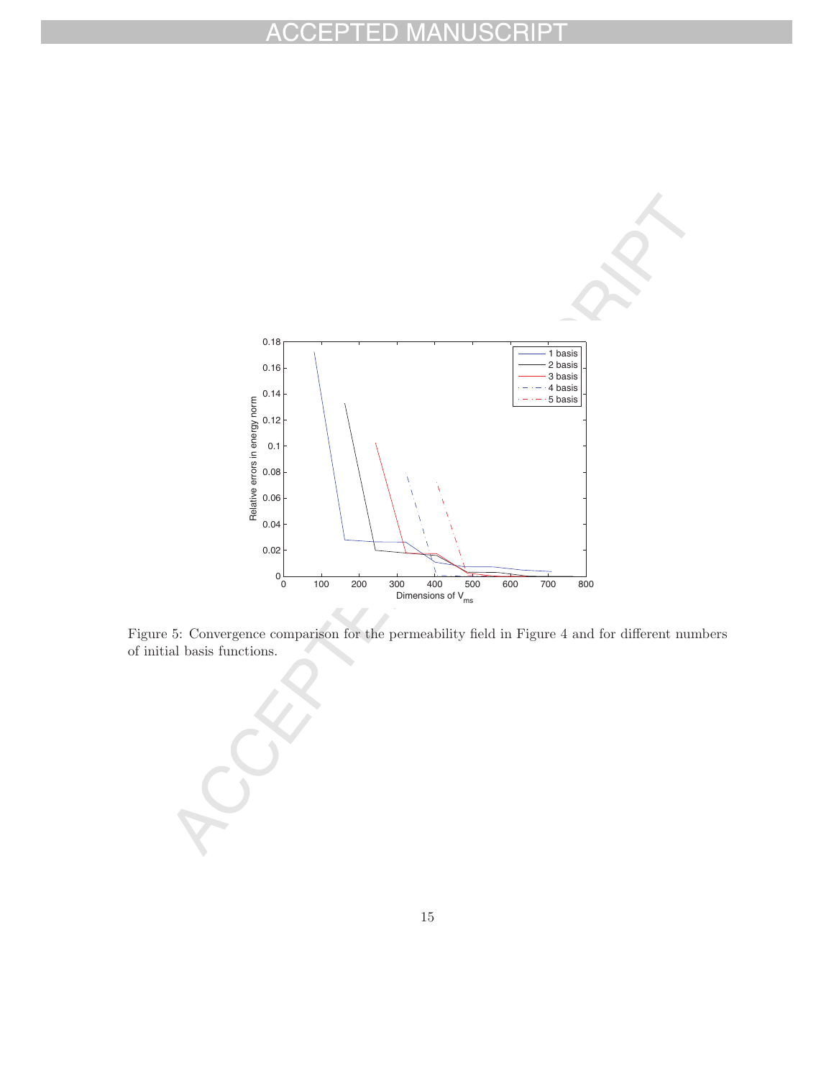#### **ILISCRIPT** ACCEPTED MAI



Figure 5: Convergence comparison for the permeability field in Figure 4 and for different numbers of initial basis functions.

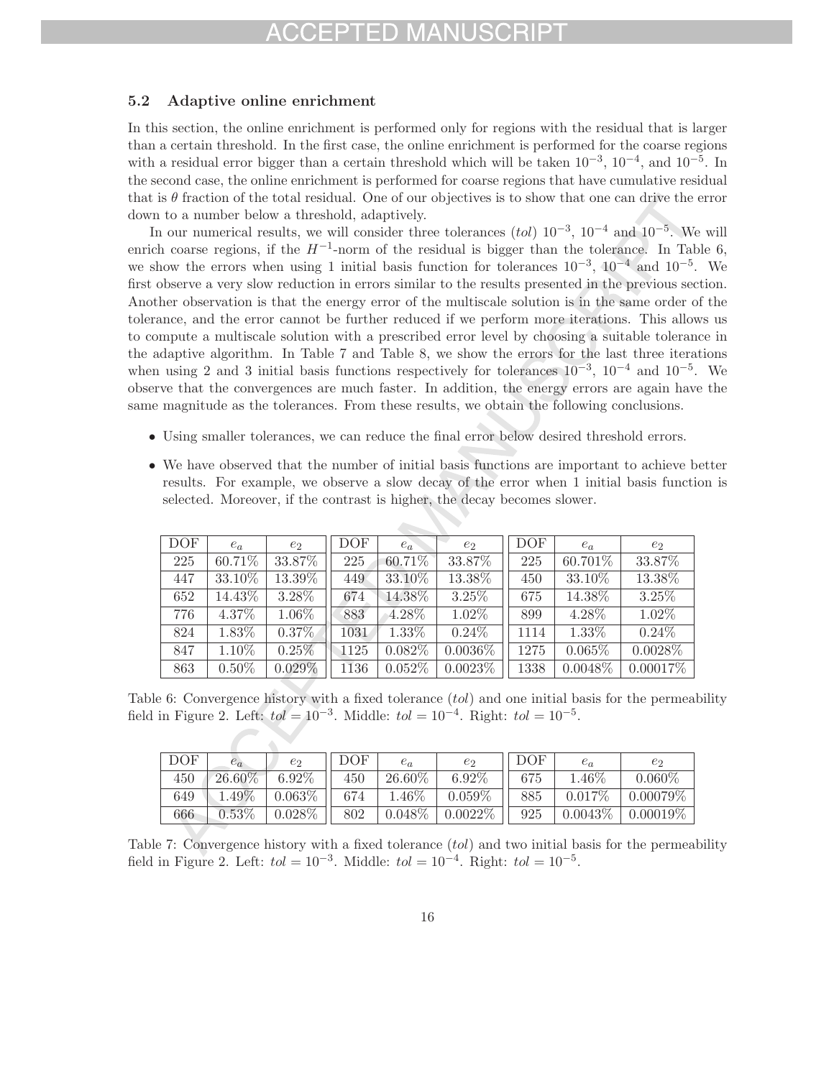## $\blacksquare$

#### **5.2 Adaptive online enrichment**

In this section, the online enrichment is performed only for regions with the residual that is larger than a certain threshold. In the first case, the online enrichment is performed for the coarse regions with a residual error bigger than a certain threshold which will be taken  $10^{-3}$ ,  $10^{-4}$ , and  $10^{-5}$ . In the second case, the online enrichment is performed for coarse regions that have cumulative residual that is  $\theta$  fraction of the total residual. One of our objectives is to show that one can drive the error down to a number below a threshold, adaptively.

In our numerical results, we will consider three tolerances (tol)  $10^{-3}$ ,  $10^{-4}$  and  $10^{-5}$ . We will enrich coarse regions, if the  $H^{-1}$ -norm of the residual is bigger than the tolerance. In Table 6, we show the errors when using 1 initial basis function for tolerances  $10^{-3}$ ,  $10^{-4}$  and  $10^{-5}$ . We first observe a very slow reduction in errors similar to the results presented in the previous section. Another observation is that the energy error of the multiscale solution is in the same order of the tolerance, and the error cannot be further reduced if we perform more iterations. This allows us to compute a multiscale solution with a prescribed error level by choosing a suitable tolerance in the adaptive algorithm. In Table 7 and Table 8, we show the errors for the last three iterations when using 2 and 3 initial basis functions respectively for tolerances  $10^{-3}$ ,  $10^{-4}$  and  $10^{-5}$ . We observe that the convergences are much faster. In addition, the energy errors are again have the same magnitude as the tolerances. From these results, we obtain the following conclusions.

- Using smaller tolerances, we can reduce the final error below desired threshold errors.
- We have observed that the number of initial basis functions are important to achieve better results. For example, we observe a slow decay of the error when 1 initial basis function is selected. Moreover, if the contrast is higher, the decay becomes slower.

| <b>DOF</b> | $e_a$    | $e_2$     | DOF  | $e_a$     | $e_2$      | <b>DOF</b> | $e_a$   | $e_2$       |
|------------|----------|-----------|------|-----------|------------|------------|---------|-------------|
| 225        | 60.71%   | 33.87%    | 225  | 60.71%    | 33.87%     | 225        | 60.701% | 33.87%      |
| 447        | 33.10%   | 13.39%    | 449  | 33.10%    | 13.38%     | 450        | 33.10%  | 13.38%      |
| 652        | 14.43%   | 3.28%     | 674  | 14.38%    | $3.25\%$   | 675        | 14.38%  | 3.25%       |
| 776        | 4.37%    | 1.06%     | 883  | 4.28%     | 1.02%      | 899        | 4.28%   | 1.02%       |
| 824        | 1.83%    | 0.37%     | 1031 | 1.33%     | $0.24\%$   | 1114       | 1.33%   | $0.24\%$    |
| 847        | 1.10%    | $0.25\%$  | 1125 | $0.082\%$ | $0.0036\%$ | 1275       | 0.065%  | $0.0028\%$  |
| 863        | $0.50\%$ | $0.029\%$ | 1136 | $0.052\%$ | $0.0023\%$ | 1338       | 0.0048% | $0.00017\%$ |

Table 6: Convergence history with a fixed tolerance (tol) and one initial basis for the permeability field in Figure 2. Left:  $tol = 10^{-3}$ . Middle:  $tol = 10^{-4}$ . Right:  $tol = 10^{-5}$ .

| DOF | $e_a$  | $e_2$     | DOF | $e_a$     | $e_2$     | DOF | $e_a$     | $e_2$       |
|-----|--------|-----------|-----|-----------|-----------|-----|-----------|-------------|
| 450 | 26.60% | 6.92%     | 450 | 26.60%    | 6.92%     | 675 | $1.46\%$  | $0.060\%$   |
| 649 | 49%    | $0.063\%$ | 674 | $.46\%$   | $0.059\%$ | 885 | $0.017\%$ | $0.00079\%$ |
| 666 | 0.53%  | $0.028\%$ | 802 | $0.048\%$ | 0.0022%   | 925 | 0.0043%   | $0.00019\%$ |

Table 7: Convergence history with a fixed tolerance  $(tol)$  and two initial basis for the permeability field in Figure 2. Left:  $tol = 10^{-3}$ . Middle:  $tol = 10^{-4}$ . Right:  $tol = 10^{-5}$ .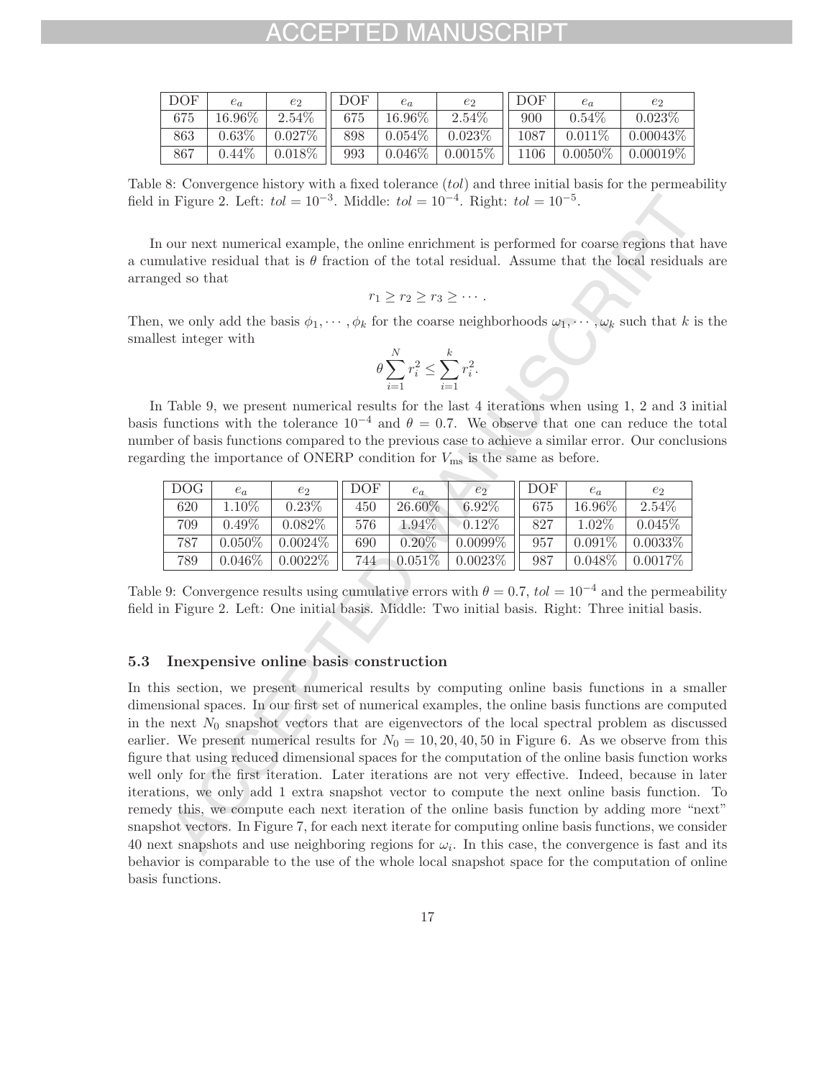| DOF | $e_a$    | еŋ        | DOF. | $e_a$      | $e_2$       | DOF  | $e_a$      | $e_2$       |
|-----|----------|-----------|------|------------|-------------|------|------------|-------------|
| 675 | 16.96%   | $2.54\%$  | 675  | 16.96%     | $2.54\%$    | 900  | $0.54\%$   | $0.023\%$   |
| 863 | $0.63\%$ | $0.027\%$ | 898  | $10.054\%$ | $0.023\%$   | 1087 | $0.011\%$  | $0.00043\%$ |
| 867 | $0.44\%$ | $0.018\%$ | 993  | $0.046\%$  | $10.0015\%$ | 1106 | $0.0050\%$ | $0.00019\%$ |

Table 8: Convergence history with a fixed tolerance (tol) and three initial basis for the permeability field in Figure 2. Left:  $tol = 10^{-3}$ . Middle:  $tol = 10^{-4}$ . Right:  $tol = 10^{-5}$ .

In our next numerical example, the online enrichment is performed for coarse regions that have a cumulative residual that is  $\theta$  fraction of the total residual. Assume that the local residuals are arranged so that

$$
r_1 \geq r_2 \geq r_3 \geq \cdots.
$$

Then, we only add the basis  $\phi_1, \dots, \phi_k$  for the coarse neighborhoods  $\omega_1, \dots, \omega_k$  such that k is the smallest integer with

$$
\theta \sum_{i=1}^{N} r_i^2 \le \sum_{i=1}^{k} r_i^2.
$$

In Table 9, we present numerical results for the last 4 iterations when using 1, 2 and 3 initial basis functions with the tolerance  $10^{-4}$  and  $\theta = 0.7$ . We observe that one can reduce the total number of basis functions compared to the previous case to achieve a similar error. Our conclusions regarding the importance of ONERP condition for  $V_{\text{ms}}$  is the same as before.

| <b>DOG</b> | $e_a$     | $e_2$      | DOF | $e_a$     | $e_2$      | DOF | $e_a$    | $e_2$   |
|------------|-----------|------------|-----|-----------|------------|-----|----------|---------|
| 620        | $.10\%$   | 0.23%      | 450 | $26.60\%$ | 6.92%      | 675 | 16.96%   | 2.54\%  |
| 709        | $0.49\%$  | 0.082%     | 576 | $1.94\%$  | 0.12%      | 827 | $1.02\%$ | 0.045%  |
| 787        | $0.050\%$ | $0.0024\%$ | 690 | 0.20%     | $0.0099\%$ | 957 | 0.091%   | 0.0033% |
| 789        | $0.046\%$ | $0.0022\%$ | 744 | $0.051\%$ | 0.0023%    | 987 | 0.048%   | 0.0017% |

Table 9: Convergence results using cumulative errors with  $\theta = 0.7$ ,  $tol = 10^{-4}$  and the permeability field in Figure 2. Left: One initial basis. Middle: Two initial basis. Right: Three initial basis.

#### **5.3 Inexpensive online basis construction**

In this section, we present numerical results by computing online basis functions in a smaller dimensional spaces. In our first set of numerical examples, the online basis functions are computed in the next  $N_0$  snapshot vectors that are eigenvectors of the local spectral problem as discussed earlier. We present numerical results for  $N_0 = 10, 20, 40, 50$  in Figure 6. As we observe from this figure that using reduced dimensional spaces for the computation of the online basis function works well only for the first iteration. Later iterations are not very effective. Indeed, because in later iterations, we only add 1 extra snapshot vector to compute the next online basis function. To remedy this, we compute each next iteration of the online basis function by adding more "next" snapshot vectors. In Figure 7, for each next iterate for computing online basis functions, we consider 40 next snapshots and use neighboring regions for  $\omega_i$ . In this case, the convergence is fast and its behavior is comparable to the use of the whole local snapshot space for the computation of online basis functions.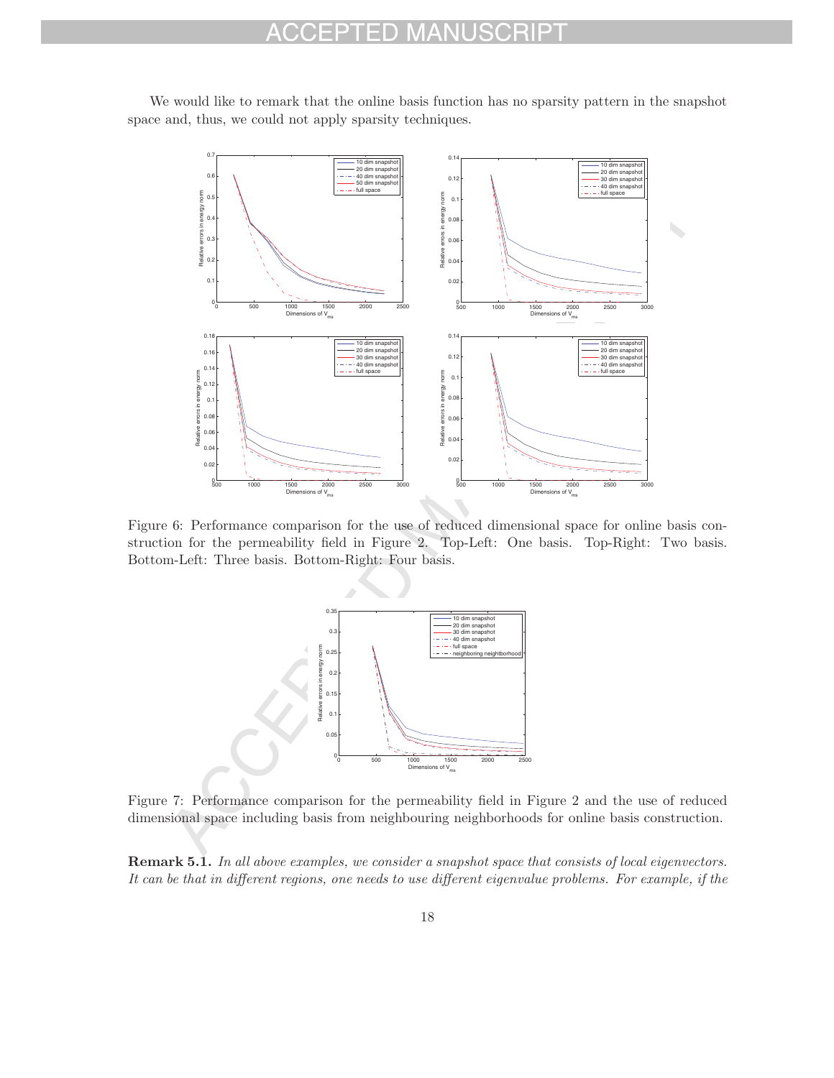## CCEPTED MANUSCRIPT



We would like to remark that the online basis function has no sparsity pattern in the snapshot space and, thus, we could not apply sparsity techniques.

Figure 6: Performance comparison for the use of reduced dimensional space for online basis construction for the permeability field in Figure 2. Top-Left: One basis. Top-Right: Two basis. Bottom-Left: Three basis. Bottom-Right: Four basis.



Figure 7: Performance comparison for the permeability field in Figure 2 and the use of reduced dimensional space including basis from neighbouring neighborhoods for online basis construction.

**Remark 5.1.** In all above examples, we consider a snapshot space that consists of local eigenvectors. It can be that in different regions, one needs to use different eigenvalue problems. For example, if the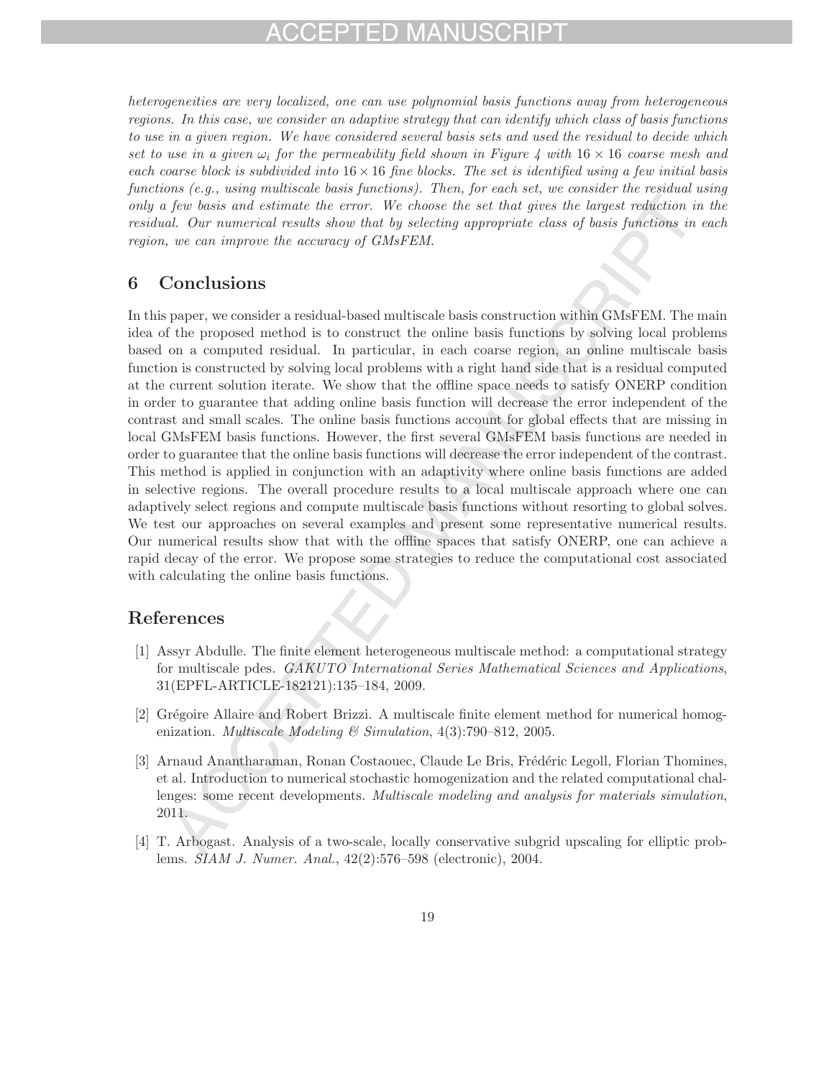## CEPTED MANUSCRIPT

heterogeneities are very localized, one can use polynomial basis functions away from heterogeneous regions. In this case, we consider an adaptive strategy that can identify which class of basis functions to use in a given region. We have considered several basis sets and used the residual to decide which set to use in a given  $\omega_i$  for the permeability field shown in Figure 4 with  $16 \times 16$  coarse mesh and each coarse block is subdivided into  $16 \times 16$  fine blocks. The set is identified using a few initial basis functions (e.g., using multiscale basis functions). Then, for each set, we consider the residual using only a few basis and estimate the error. We choose the set that gives the largest reduction in the residual. Our numerical results show that by selecting appropriate class of basis functions in each region, we can improve the accuracy of GMsFEM.

#### **6 Conclusions**

In this paper, we consider a residual-based multiscale basis construction within GMsFEM. The main idea of the proposed method is to construct the online basis functions by solving local problems based on a computed residual. In particular, in each coarse region, an online multiscale basis function is constructed by solving local problems with a right hand side that is a residual computed at the current solution iterate. We show that the offline space needs to satisfy ONERP condition in order to guarantee that adding online basis function will decrease the error independent of the contrast and small scales. The online basis functions account for global effects that are missing in local GMsFEM basis functions. However, the first several GMsFEM basis functions are needed in order to guarantee that the online basis functions will decrease the error independent of the contrast. This method is applied in conjunction with an adaptivity where online basis functions are added in selective regions. The overall procedure results to a local multiscale approach where one can adaptively select regions and compute multiscale basis functions without resorting to global solves. We test our approaches on several examples and present some representative numerical results. Our numerical results show that with the offline spaces that satisfy ONERP, one can achieve a rapid decay of the error. We propose some strategies to reduce the computational cost associated with calculating the online basis functions.

#### **References**

- [1] Assyr Abdulle. The finite element heterogeneous multiscale method: a computational strategy for multiscale pdes. GAKUTO International Series Mathematical Sciences and Applications, 31(EPFL-ARTICLE-182121):135–184, 2009.
- [2] Grégoire Allaire and Robert Brizzi. A multiscale finite element method for numerical homogenization. *Multiscale Modeling* & Simulation,  $4(3)$ :790–812, 2005.
- [3] Arnaud Anantharaman, Ronan Costaouec, Claude Le Bris, Frédéric Legoll, Florian Thomines, et al. Introduction to numerical stochastic homogenization and the related computational challenges: some recent developments. Multiscale modeling and analysis for materials simulation, 2011.
- [4] T. Arbogast. Analysis of a two-scale, locally conservative subgrid upscaling for elliptic problems. SIAM J. Numer. Anal., 42(2):576–598 (electronic), 2004.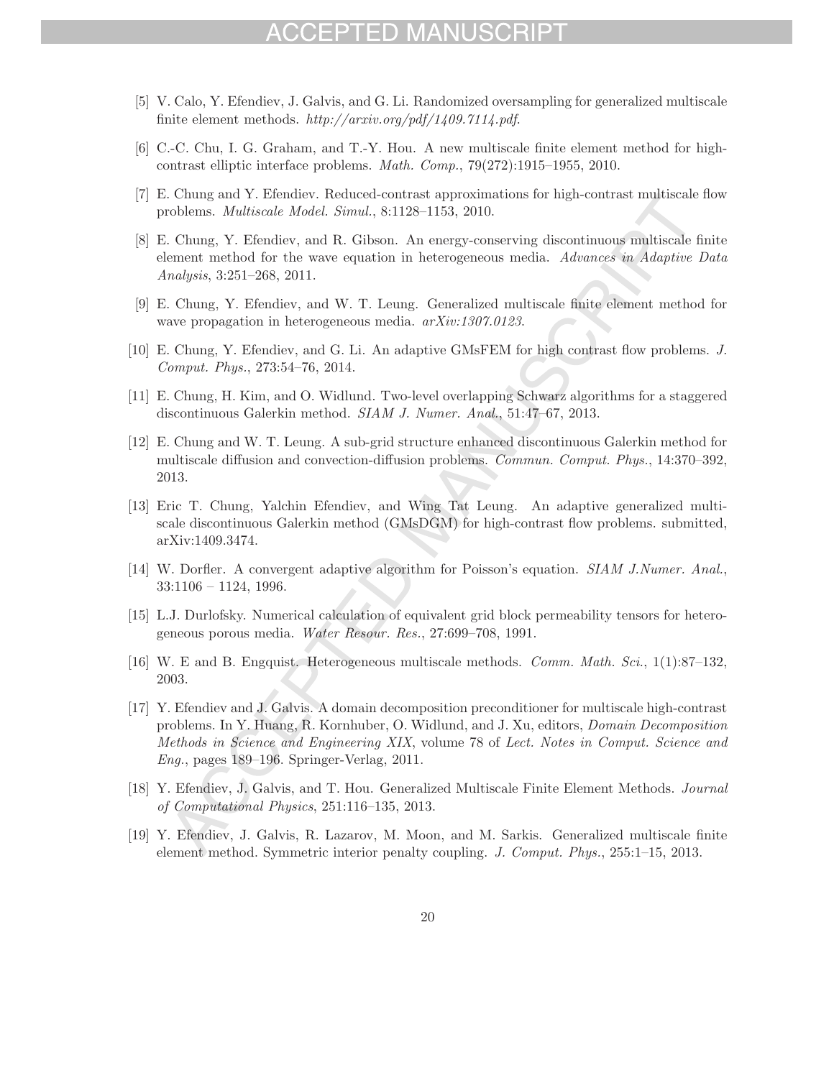## CEPTED MANUSCRIPT

- [5] V. Calo, Y. Efendiev, J. Galvis, and G. Li. Randomized oversampling for generalized multiscale finite element methods. http://arxiv.org/pdf/1409.7114.pdf.
- [6] C.-C. Chu, I. G. Graham, and T.-Y. Hou. A new multiscale finite element method for highcontrast elliptic interface problems. Math. Comp., 79(272):1915–1955, 2010.
- [7] E. Chung and Y. Efendiev. Reduced-contrast approximations for high-contrast multiscale flow problems. Multiscale Model. Simul., 8:1128–1153, 2010.
- [8] E. Chung, Y. Efendiev, and R. Gibson. An energy-conserving discontinuous multiscale finite element method for the wave equation in heterogeneous media. Advances in Adaptive Data Analysis, 3:251–268, 2011.
- [9] E. Chung, Y. Efendiev, and W. T. Leung. Generalized multiscale finite element method for wave propagation in heterogeneous media.  $arXiv:1307.0123$ .
- [10] E. Chung, Y. Efendiev, and G. Li. An adaptive GMsFEM for high contrast flow problems. J. Comput. Phys., 273:54–76, 2014.
- [11] E. Chung, H. Kim, and O. Widlund. Two-level overlapping Schwarz algorithms for a staggered discontinuous Galerkin method. SIAM J. Numer. Anal., 51:47–67, 2013.
- [12] E. Chung and W. T. Leung. A sub-grid structure enhanced discontinuous Galerkin method for multiscale diffusion and convection-diffusion problems. Commun. Comput. Phys., 14:370–392, 2013.
- [13] Eric T. Chung, Yalchin Efendiev, and Wing Tat Leung. An adaptive generalized multiscale discontinuous Galerkin method (GMsDGM) for high-contrast flow problems. submitted, arXiv:1409.3474.
- [14] W. Dorfler. A convergent adaptive algorithm for Poisson's equation. *SIAM J.Numer. Anal.*, 33:1106 – 1124, 1996.
- [15] L.J. Durlofsky. Numerical calculation of equivalent grid block permeability tensors for heterogeneous porous media. Water Resour. Res., 27:699–708, 1991.
- [16] W. E and B. Engquist. Heterogeneous multiscale methods. Comm. Math. Sci., 1(1):87–132, 2003.
- [17] Y. Efendiev and J. Galvis. A domain decomposition preconditioner for multiscale high-contrast problems. In Y. Huang, R. Kornhuber, O. Widlund, and J. Xu, editors, Domain Decomposition Methods in Science and Engineering XIX, volume 78 of Lect. Notes in Comput. Science and Eng., pages 189–196. Springer-Verlag, 2011.
- [18] Y. Efendiev, J. Galvis, and T. Hou. Generalized Multiscale Finite Element Methods. Journal of Computational Physics, 251:116–135, 2013.
- [19] Y. Efendiev, J. Galvis, R. Lazarov, M. Moon, and M. Sarkis. Generalized multiscale finite element method. Symmetric interior penalty coupling. J. Comput. Phys., 255:1–15, 2013.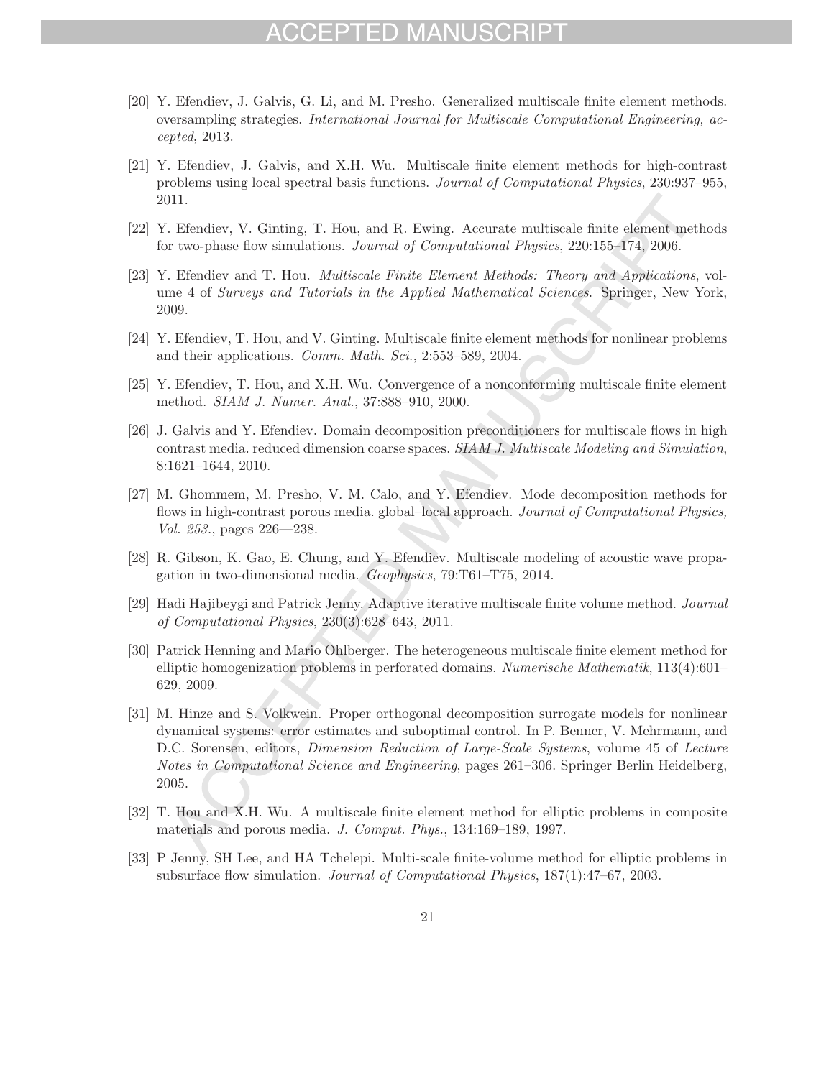## CEPTED MAN

- [20] Y. Efendiev, J. Galvis, G. Li, and M. Presho. Generalized multiscale finite element methods. oversampling strategies. International Journal for Multiscale Computational Engineering, accepted, 2013.
- [21] Y. Efendiev, J. Galvis, and X.H. Wu. Multiscale finite element methods for high-contrast problems using local spectral basis functions. Journal of Computational Physics, 230:937–955, 2011.
- [22] Y. Efendiev, V. Ginting, T. Hou, and R. Ewing. Accurate multiscale finite element methods for two-phase flow simulations. Journal of Computational Physics, 220:155–174, 2006.
- [23] Y. Efendiev and T. Hou. Multiscale Finite Element Methods: Theory and Applications, volume 4 of Surveys and Tutorials in the Applied Mathematical Sciences. Springer, New York, 2009.
- [24] Y. Efendiev, T. Hou, and V. Ginting. Multiscale finite element methods for nonlinear problems and their applications. Comm. Math. Sci., 2:553–589, 2004.
- [25] Y. Efendiev, T. Hou, and X.H. Wu. Convergence of a nonconforming multiscale finite element method. SIAM J. Numer. Anal., 37:888–910, 2000.
- [26] J. Galvis and Y. Efendiev. Domain decomposition preconditioners for multiscale flows in high contrast media. reduced dimension coarse spaces. SIAM J. Multiscale Modeling and Simulation, 8:1621–1644, 2010.
- [27] M. Ghommem, M. Presho, V. M. Calo, and Y. Efendiev. Mode decomposition methods for flows in high-contrast porous media. global–local approach. Journal of Computational Physics, Vol. 253., pages 226—238.
- [28] R. Gibson, K. Gao, E. Chung, and Y. Efendiev. Multiscale modeling of acoustic wave propagation in two-dimensional media. Geophysics, 79:T61–T75, 2014.
- [29] Hadi Hajibeygi and Patrick Jenny. Adaptive iterative multiscale finite volume method. Journal of Computational Physics, 230(3):628–643, 2011.
- [30] Patrick Henning and Mario Ohlberger. The heterogeneous multiscale finite element method for elliptic homogenization problems in perforated domains. Numerische Mathematik, 113(4):601– 629, 2009.
- [31] M. Hinze and S. Volkwein. Proper orthogonal decomposition surrogate models for nonlinear dynamical systems: error estimates and suboptimal control. In P. Benner, V. Mehrmann, and D.C. Sorensen, editors, *Dimension Reduction of Large-Scale Systems*, volume 45 of Lecture Notes in Computational Science and Engineering, pages 261–306. Springer Berlin Heidelberg, 2005.
- [32] T. Hou and X.H. Wu. A multiscale finite element method for elliptic problems in composite materials and porous media. J. Comput. Phys., 134:169–189, 1997.
- [33] P Jenny, SH Lee, and HA Tchelepi. Multi-scale finite-volume method for elliptic problems in subsurface flow simulation. Journal of Computational Physics, 187(1):47–67, 2003.